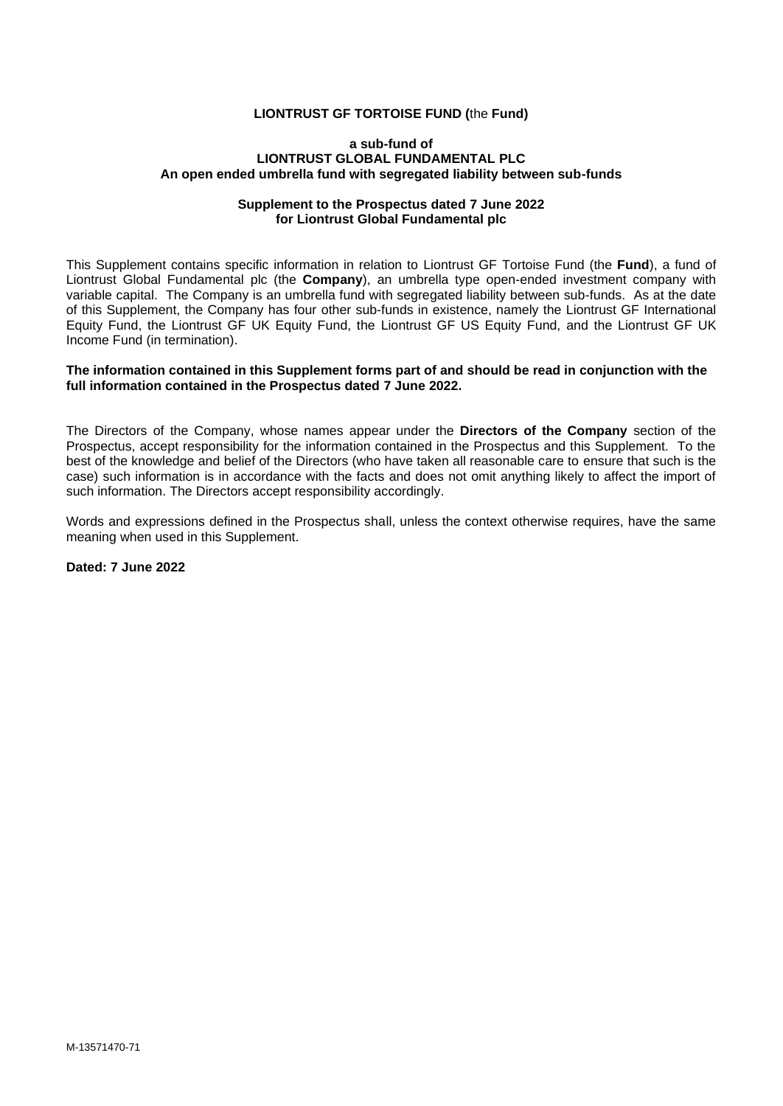#### **LIONTRUST GF TORTOISE FUND (**the **Fund)**

#### **a sub-fund of LIONTRUST GLOBAL FUNDAMENTAL PLC An open ended umbrella fund with segregated liability between sub-funds**

#### **Supplement to the Prospectus dated 7 June 2022 for Liontrust Global Fundamental plc**

This Supplement contains specific information in relation to Liontrust GF Tortoise Fund (the **Fund**), a fund of Liontrust Global Fundamental plc (the **Company**), an umbrella type open-ended investment company with variable capital. The Company is an umbrella fund with segregated liability between sub-funds. As at the date of this Supplement, the Company has four other sub-funds in existence, namely the Liontrust GF International Equity Fund, the Liontrust GF UK Equity Fund, the Liontrust GF US Equity Fund, and the Liontrust GF UK Income Fund (in termination).

### **The information contained in this Supplement forms part of and should be read in conjunction with the full information contained in the Prospectus dated 7 June 2022.**

The Directors of the Company, whose names appear under the **Directors of the Company** section of the Prospectus, accept responsibility for the information contained in the Prospectus and this Supplement. To the best of the knowledge and belief of the Directors (who have taken all reasonable care to ensure that such is the case) such information is in accordance with the facts and does not omit anything likely to affect the import of such information. The Directors accept responsibility accordingly.

Words and expressions defined in the Prospectus shall, unless the context otherwise requires, have the same meaning when used in this Supplement.

**Dated: 7 June 2022**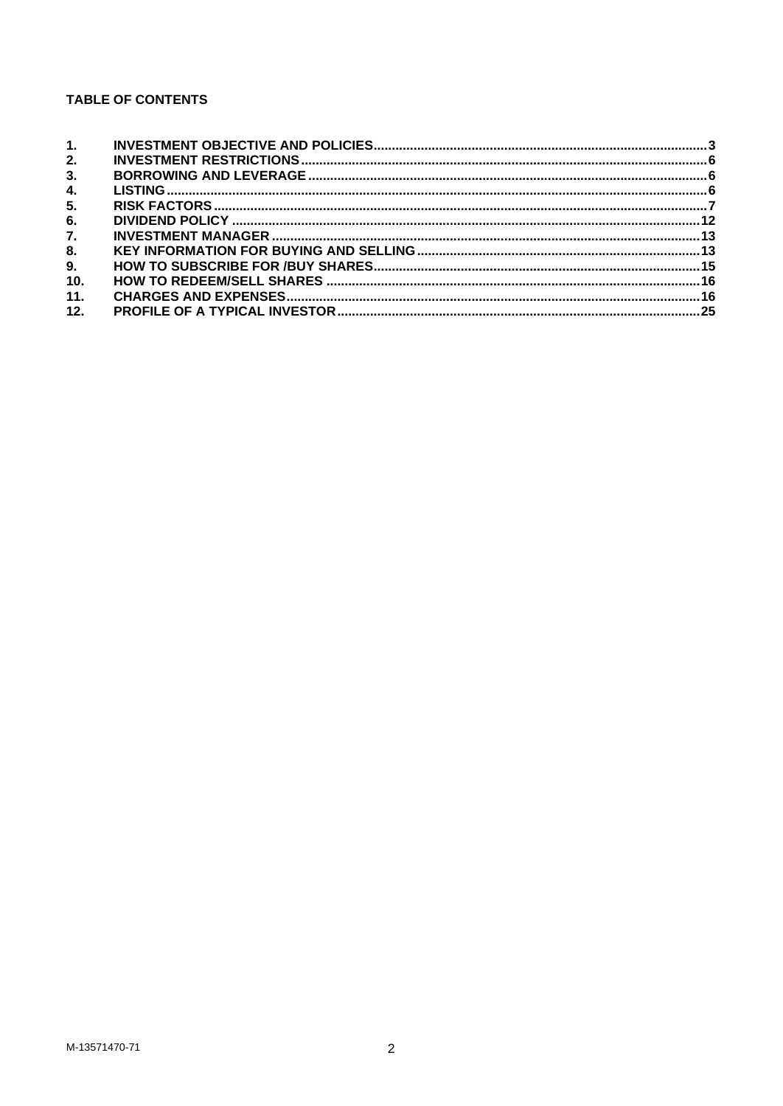# **TABLE OF CONTENTS**

| 1.  |  |
|-----|--|
| 2.  |  |
| 3.  |  |
| 4.  |  |
| 5.  |  |
| 6.  |  |
| 7.  |  |
| 8.  |  |
| 9.  |  |
| 10. |  |
| 11. |  |
| 12. |  |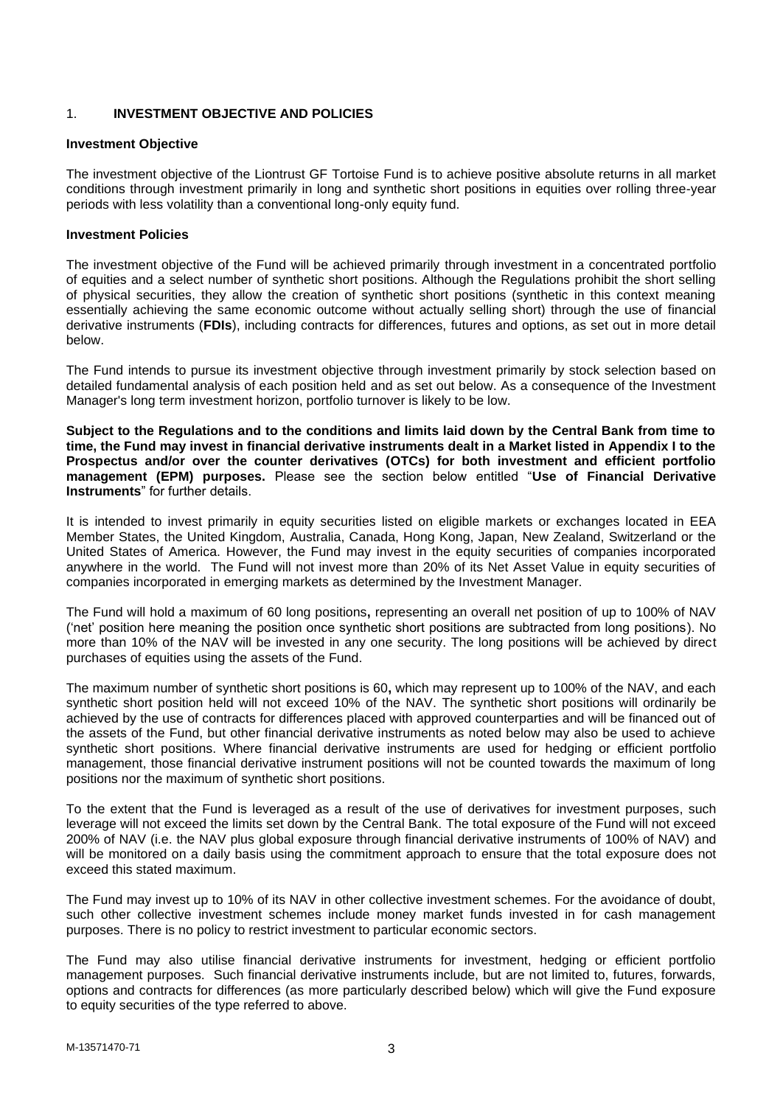## <span id="page-2-0"></span>1. **INVESTMENT OBJECTIVE AND POLICIES**

#### **Investment Objective**

The investment objective of the Liontrust GF Tortoise Fund is to achieve positive absolute returns in all market conditions through investment primarily in long and synthetic short positions in equities over rolling three-year periods with less volatility than a conventional long-only equity fund.

#### **Investment Policies**

The investment objective of the Fund will be achieved primarily through investment in a concentrated portfolio of equities and a select number of synthetic short positions. Although the Regulations prohibit the short selling of physical securities, they allow the creation of synthetic short positions (synthetic in this context meaning essentially achieving the same economic outcome without actually selling short) through the use of financial derivative instruments (**FDIs**), including contracts for differences, futures and options, as set out in more detail below.

The Fund intends to pursue its investment objective through investment primarily by stock selection based on detailed fundamental analysis of each position held and as set out below. As a consequence of the Investment Manager's long term investment horizon, portfolio turnover is likely to be low.

**Subject to the Regulations and to the conditions and limits laid down by the Central Bank from time to time, the Fund may invest in financial derivative instruments dealt in a Market listed in Appendix I to the Prospectus and/or over the counter derivatives (OTCs) for both investment and efficient portfolio management (EPM) purposes.** Please see the section below entitled "**Use of Financial Derivative Instruments**" for further details.

It is intended to invest primarily in equity securities listed on eligible markets or exchanges located in EEA Member States, the United Kingdom, Australia, Canada, Hong Kong, Japan, New Zealand, Switzerland or the United States of America. However, the Fund may invest in the equity securities of companies incorporated anywhere in the world. The Fund will not invest more than 20% of its Net Asset Value in equity securities of companies incorporated in emerging markets as determined by the Investment Manager.

The Fund will hold a maximum of 60 long positions**,** representing an overall net position of up to 100% of NAV ('net' position here meaning the position once synthetic short positions are subtracted from long positions). No more than 10% of the NAV will be invested in any one security. The long positions will be achieved by direct purchases of equities using the assets of the Fund.

The maximum number of synthetic short positions is 60**,** which may represent up to 100% of the NAV, and each synthetic short position held will not exceed 10% of the NAV. The synthetic short positions will ordinarily be achieved by the use of contracts for differences placed with approved counterparties and will be financed out of the assets of the Fund, but other financial derivative instruments as noted below may also be used to achieve synthetic short positions. Where financial derivative instruments are used for hedging or efficient portfolio management, those financial derivative instrument positions will not be counted towards the maximum of long positions nor the maximum of synthetic short positions.

To the extent that the Fund is leveraged as a result of the use of derivatives for investment purposes, such leverage will not exceed the limits set down by the Central Bank. The total exposure of the Fund will not exceed 200% of NAV (i.e. the NAV plus global exposure through financial derivative instruments of 100% of NAV) and will be monitored on a daily basis using the commitment approach to ensure that the total exposure does not exceed this stated maximum.

The Fund may invest up to 10% of its NAV in other collective investment schemes. For the avoidance of doubt, such other collective investment schemes include money market funds invested in for cash management purposes. There is no policy to restrict investment to particular economic sectors.

The Fund may also utilise financial derivative instruments for investment, hedging or efficient portfolio management purposes. Such financial derivative instruments include, but are not limited to, futures, forwards, options and contracts for differences (as more particularly described below) which will give the Fund exposure to equity securities of the type referred to above.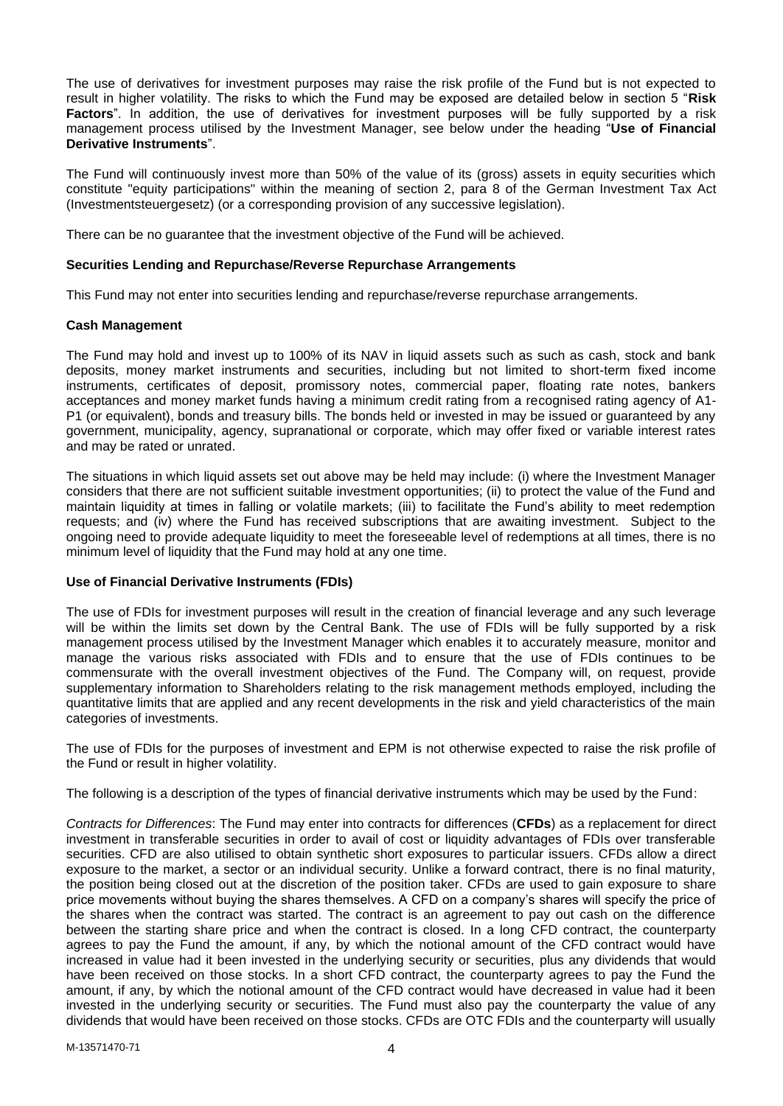The use of derivatives for investment purposes may raise the risk profile of the Fund but is not expected to result in higher volatility. The risks to which the Fund may be exposed are detailed below in section 5 "**Risk Factors**". In addition, the use of derivatives for investment purposes will be fully supported by a risk management process utilised by the Investment Manager, see below under the heading "**Use of Financial Derivative Instruments**".

The Fund will continuously invest more than 50% of the value of its (gross) assets in equity securities which constitute "equity participations" within the meaning of section 2, para 8 of the German Investment Tax Act (Investmentsteuergesetz) (or a corresponding provision of any successive legislation).

There can be no guarantee that the investment objective of the Fund will be achieved.

## **Securities Lending and Repurchase/Reverse Repurchase Arrangements**

This Fund may not enter into securities lending and repurchase/reverse repurchase arrangements.

## **Cash Management**

The Fund may hold and invest up to 100% of its NAV in liquid assets such as such as cash, stock and bank deposits, money market instruments and securities, including but not limited to short-term fixed income instruments, certificates of deposit, promissory notes, commercial paper, floating rate notes, bankers acceptances and money market funds having a minimum credit rating from a recognised rating agency of A1- P1 (or equivalent), bonds and treasury bills. The bonds held or invested in may be issued or guaranteed by any government, municipality, agency, supranational or corporate, which may offer fixed or variable interest rates and may be rated or unrated.

The situations in which liquid assets set out above may be held may include: (i) where the Investment Manager considers that there are not sufficient suitable investment opportunities; (ii) to protect the value of the Fund and maintain liquidity at times in falling or volatile markets; (iii) to facilitate the Fund's ability to meet redemption requests; and (iv) where the Fund has received subscriptions that are awaiting investment. Subject to the ongoing need to provide adequate liquidity to meet the foreseeable level of redemptions at all times, there is no minimum level of liquidity that the Fund may hold at any one time.

## **Use of Financial Derivative Instruments (FDIs)**

The use of FDIs for investment purposes will result in the creation of financial leverage and any such leverage will be within the limits set down by the Central Bank. The use of FDIs will be fully supported by a risk management process utilised by the Investment Manager which enables it to accurately measure, monitor and manage the various risks associated with FDIs and to ensure that the use of FDIs continues to be commensurate with the overall investment objectives of the Fund. The Company will, on request, provide supplementary information to Shareholders relating to the risk management methods employed, including the quantitative limits that are applied and any recent developments in the risk and yield characteristics of the main categories of investments.

The use of FDIs for the purposes of investment and EPM is not otherwise expected to raise the risk profile of the Fund or result in higher volatility.

The following is a description of the types of financial derivative instruments which may be used by the Fund:

*Contracts for Differences*: The Fund may enter into contracts for differences (**CFDs**) as a replacement for direct investment in transferable securities in order to avail of cost or liquidity advantages of FDIs over transferable securities. CFD are also utilised to obtain synthetic short exposures to particular issuers. CFDs allow a direct exposure to the market, a sector or an individual security. Unlike a forward contract, there is no final maturity, the position being closed out at the discretion of the position taker. CFDs are used to gain exposure to share price movements without buying the shares themselves. A CFD on a company's shares will specify the price of the shares when the contract was started. The contract is an agreement to pay out cash on the difference between the starting share price and when the contract is closed. In a long CFD contract, the counterparty agrees to pay the Fund the amount, if any, by which the notional amount of the CFD contract would have increased in value had it been invested in the underlying security or securities, plus any dividends that would have been received on those stocks. In a short CFD contract, the counterparty agrees to pay the Fund the amount, if any, by which the notional amount of the CFD contract would have decreased in value had it been invested in the underlying security or securities. The Fund must also pay the counterparty the value of any dividends that would have been received on those stocks. CFDs are OTC FDIs and the counterparty will usually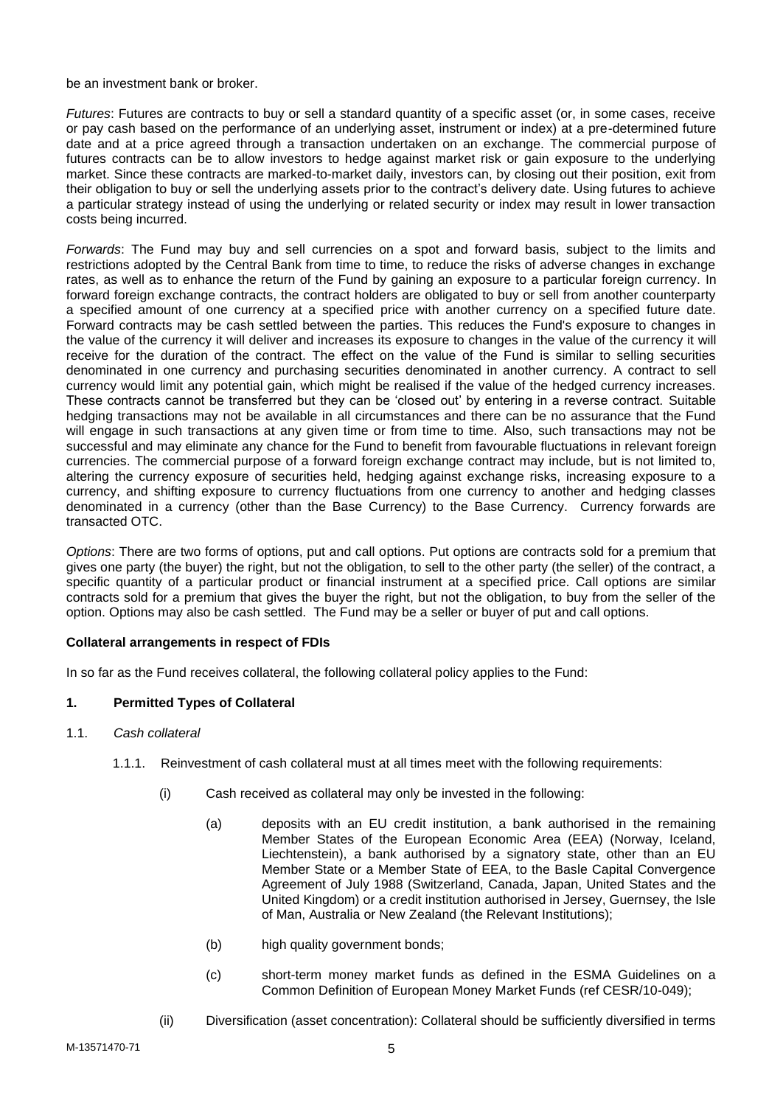be an investment bank or broker.

*Futures*: Futures are contracts to buy or sell a standard quantity of a specific asset (or, in some cases, receive or pay cash based on the performance of an underlying asset, instrument or index) at a pre-determined future date and at a price agreed through a transaction undertaken on an exchange. The commercial purpose of futures contracts can be to allow investors to hedge against market risk or gain exposure to the underlying market. Since these contracts are marked-to-market daily, investors can, by closing out their position, exit from their obligation to buy or sell the underlying assets prior to the contract's delivery date. Using futures to achieve a particular strategy instead of using the underlying or related security or index may result in lower transaction costs being incurred.

*Forwards*: The Fund may buy and sell currencies on a spot and forward basis, subject to the limits and restrictions adopted by the Central Bank from time to time, to reduce the risks of adverse changes in exchange rates, as well as to enhance the return of the Fund by gaining an exposure to a particular foreign currency. In forward foreign exchange contracts, the contract holders are obligated to buy or sell from another counterparty a specified amount of one currency at a specified price with another currency on a specified future date. Forward contracts may be cash settled between the parties. This reduces the Fund's exposure to changes in the value of the currency it will deliver and increases its exposure to changes in the value of the currency it will receive for the duration of the contract. The effect on the value of the Fund is similar to selling securities denominated in one currency and purchasing securities denominated in another currency. A contract to sell currency would limit any potential gain, which might be realised if the value of the hedged currency increases. These contracts cannot be transferred but they can be 'closed out' by entering in a reverse contract. Suitable hedging transactions may not be available in all circumstances and there can be no assurance that the Fund will engage in such transactions at any given time or from time to time. Also, such transactions may not be successful and may eliminate any chance for the Fund to benefit from favourable fluctuations in relevant foreign currencies. The commercial purpose of a forward foreign exchange contract may include, but is not limited to, altering the currency exposure of securities held, hedging against exchange risks, increasing exposure to a currency, and shifting exposure to currency fluctuations from one currency to another and hedging classes denominated in a currency (other than the Base Currency) to the Base Currency. Currency forwards are transacted OTC.

*Options*: There are two forms of options, put and call options. Put options are contracts sold for a premium that gives one party (the buyer) the right, but not the obligation, to sell to the other party (the seller) of the contract, a specific quantity of a particular product or financial instrument at a specified price. Call options are similar contracts sold for a premium that gives the buyer the right, but not the obligation, to buy from the seller of the option. Options may also be cash settled. The Fund may be a seller or buyer of put and call options.

#### **Collateral arrangements in respect of FDIs**

In so far as the Fund receives collateral, the following collateral policy applies to the Fund:

#### **1. Permitted Types of Collateral**

- 1.1. *Cash collateral*
	- 1.1.1. Reinvestment of cash collateral must at all times meet with the following requirements:
		- (i) Cash received as collateral may only be invested in the following:
			- (a) deposits with an EU credit institution, a bank authorised in the remaining Member States of the European Economic Area (EEA) (Norway, Iceland, Liechtenstein), a bank authorised by a signatory state, other than an EU Member State or a Member State of EEA, to the Basle Capital Convergence Agreement of July 1988 (Switzerland, Canada, Japan, United States and the United Kingdom) or a credit institution authorised in Jersey, Guernsey, the Isle of Man, Australia or New Zealand (the Relevant Institutions);
			- (b) high quality government bonds;
			- (c) short-term money market funds as defined in the ESMA Guidelines on a Common Definition of European Money Market Funds (ref CESR/10-049);
		- (ii) Diversification (asset concentration): Collateral should be sufficiently diversified in terms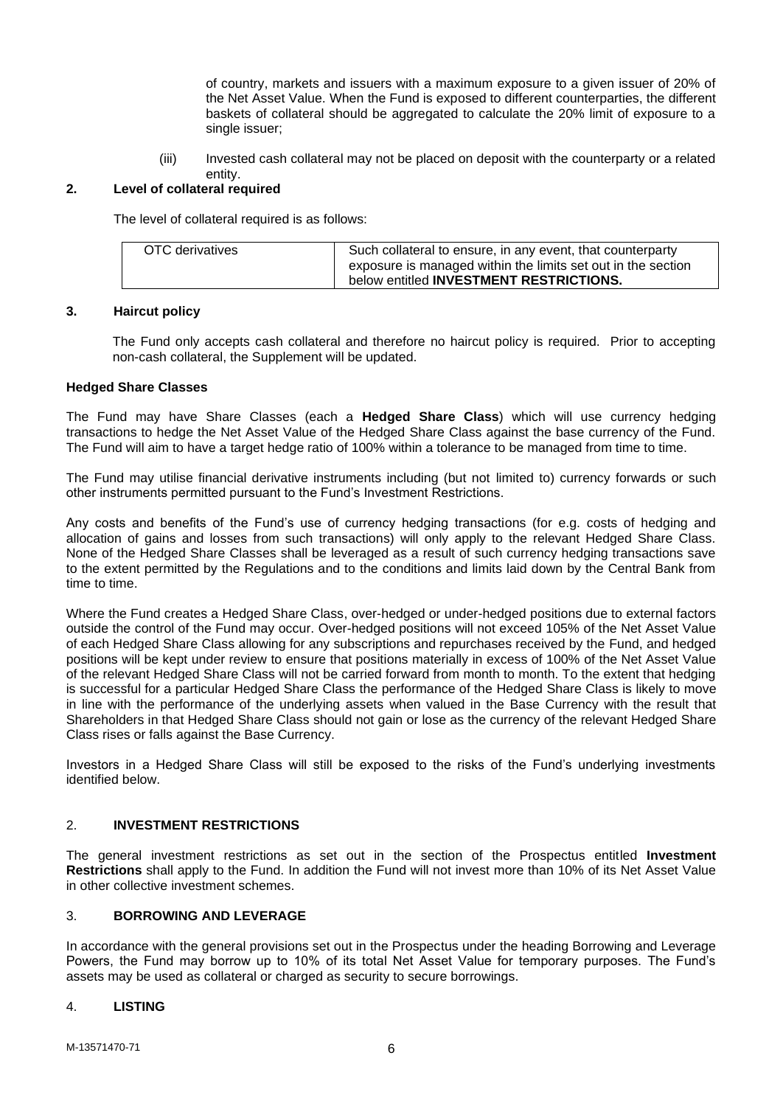of country, markets and issuers with a maximum exposure to a given issuer of 20% of the Net Asset Value. When the Fund is exposed to different counterparties, the different baskets of collateral should be aggregated to calculate the 20% limit of exposure to a single issuer;

(iii) Invested cash collateral may not be placed on deposit with the counterparty or a related entity.

## **2. Level of collateral required**

The level of collateral required is as follows:

| OTC derivatives | Such collateral to ensure, in any event, that counterparty<br>exposure is managed within the limits set out in the section |
|-----------------|----------------------------------------------------------------------------------------------------------------------------|
|                 | below entitled INVESTMENT RESTRICTIONS.                                                                                    |

## **3. Haircut policy**

The Fund only accepts cash collateral and therefore no haircut policy is required. Prior to accepting non-cash collateral, the Supplement will be updated.

## **Hedged Share Classes**

The Fund may have Share Classes (each a **Hedged Share Class**) which will use currency hedging transactions to hedge the Net Asset Value of the Hedged Share Class against the base currency of the Fund. The Fund will aim to have a target hedge ratio of 100% within a tolerance to be managed from time to time.

The Fund may utilise financial derivative instruments including (but not limited to) currency forwards or such other instruments permitted pursuant to the Fund's Investment Restrictions.

Any costs and benefits of the Fund's use of currency hedging transactions (for e.g. costs of hedging and allocation of gains and losses from such transactions) will only apply to the relevant Hedged Share Class. None of the Hedged Share Classes shall be leveraged as a result of such currency hedging transactions save to the extent permitted by the Regulations and to the conditions and limits laid down by the Central Bank from time to time.

Where the Fund creates a Hedged Share Class, over-hedged or under-hedged positions due to external factors outside the control of the Fund may occur. Over-hedged positions will not exceed 105% of the Net Asset Value of each Hedged Share Class allowing for any subscriptions and repurchases received by the Fund, and hedged positions will be kept under review to ensure that positions materially in excess of 100% of the Net Asset Value of the relevant Hedged Share Class will not be carried forward from month to month. To the extent that hedging is successful for a particular Hedged Share Class the performance of the Hedged Share Class is likely to move in line with the performance of the underlying assets when valued in the Base Currency with the result that Shareholders in that Hedged Share Class should not gain or lose as the currency of the relevant Hedged Share Class rises or falls against the Base Currency.

Investors in a Hedged Share Class will still be exposed to the risks of the Fund's underlying investments identified below.

## <span id="page-5-0"></span>2. **INVESTMENT RESTRICTIONS**

The general investment restrictions as set out in the section of the Prospectus entitled **Investment Restrictions** shall apply to the Fund. In addition the Fund will not invest more than 10% of its Net Asset Value in other collective investment schemes.

# <span id="page-5-1"></span>3. **BORROWING AND LEVERAGE**

In accordance with the general provisions set out in the Prospectus under the heading Borrowing and Leverage Powers, the Fund may borrow up to 10% of its total Net Asset Value for temporary purposes. The Fund's assets may be used as collateral or charged as security to secure borrowings.

#### <span id="page-5-2"></span>4. **LISTING**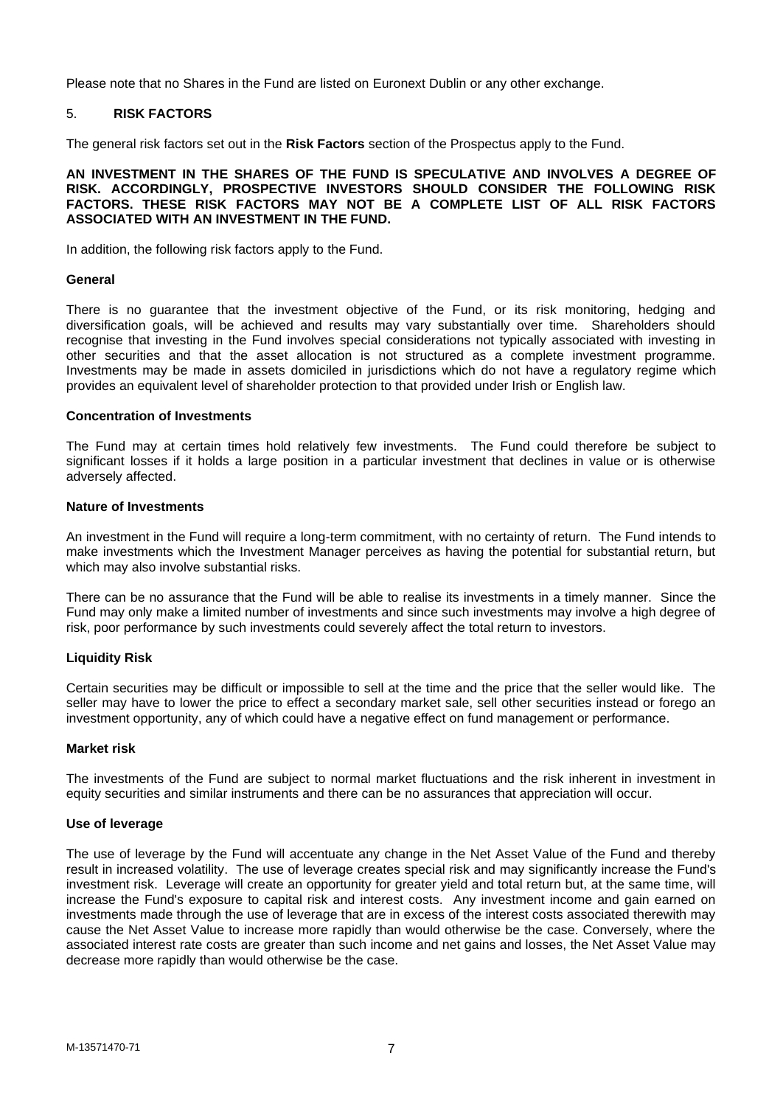Please note that no Shares in the Fund are listed on Euronext Dublin or any other exchange.

## <span id="page-6-0"></span>5. **RISK FACTORS**

The general risk factors set out in the **Risk Factors** section of the Prospectus apply to the Fund.

#### **AN INVESTMENT IN THE SHARES OF THE FUND IS SPECULATIVE AND INVOLVES A DEGREE OF RISK. ACCORDINGLY, PROSPECTIVE INVESTORS SHOULD CONSIDER THE FOLLOWING RISK FACTORS. THESE RISK FACTORS MAY NOT BE A COMPLETE LIST OF ALL RISK FACTORS ASSOCIATED WITH AN INVESTMENT IN THE FUND.**

In addition, the following risk factors apply to the Fund.

### **General**

There is no guarantee that the investment objective of the Fund, or its risk monitoring, hedging and diversification goals, will be achieved and results may vary substantially over time. Shareholders should recognise that investing in the Fund involves special considerations not typically associated with investing in other securities and that the asset allocation is not structured as a complete investment programme. Investments may be made in assets domiciled in jurisdictions which do not have a regulatory regime which provides an equivalent level of shareholder protection to that provided under Irish or English law.

#### **Concentration of Investments**

The Fund may at certain times hold relatively few investments. The Fund could therefore be subject to significant losses if it holds a large position in a particular investment that declines in value or is otherwise adversely affected.

#### **Nature of Investments**

An investment in the Fund will require a long-term commitment, with no certainty of return. The Fund intends to make investments which the Investment Manager perceives as having the potential for substantial return, but which may also involve substantial risks.

There can be no assurance that the Fund will be able to realise its investments in a timely manner. Since the Fund may only make a limited number of investments and since such investments may involve a high degree of risk, poor performance by such investments could severely affect the total return to investors.

#### **Liquidity Risk**

Certain securities may be difficult or impossible to sell at the time and the price that the seller would like. The seller may have to lower the price to effect a secondary market sale, sell other securities instead or forego an investment opportunity, any of which could have a negative effect on fund management or performance.

#### **Market risk**

The investments of the Fund are subject to normal market fluctuations and the risk inherent in investment in equity securities and similar instruments and there can be no assurances that appreciation will occur.

#### **Use of leverage**

The use of leverage by the Fund will accentuate any change in the Net Asset Value of the Fund and thereby result in increased volatility. The use of leverage creates special risk and may significantly increase the Fund's investment risk. Leverage will create an opportunity for greater yield and total return but, at the same time, will increase the Fund's exposure to capital risk and interest costs. Any investment income and gain earned on investments made through the use of leverage that are in excess of the interest costs associated therewith may cause the Net Asset Value to increase more rapidly than would otherwise be the case. Conversely, where the associated interest rate costs are greater than such income and net gains and losses, the Net Asset Value may decrease more rapidly than would otherwise be the case.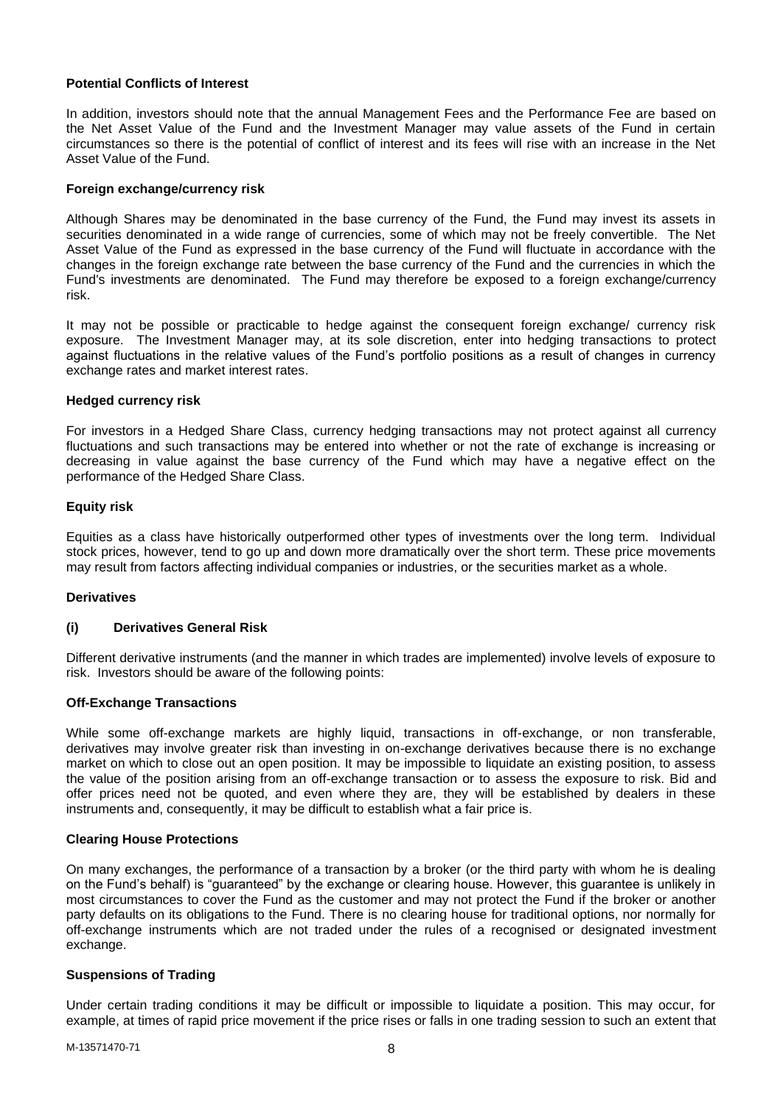## **Potential Conflicts of Interest**

In addition, investors should note that the annual Management Fees and the Performance Fee are based on the Net Asset Value of the Fund and the Investment Manager may value assets of the Fund in certain circumstances so there is the potential of conflict of interest and its fees will rise with an increase in the Net Asset Value of the Fund.

### **Foreign exchange/currency risk**

Although Shares may be denominated in the base currency of the Fund, the Fund may invest its assets in securities denominated in a wide range of currencies, some of which may not be freely convertible. The Net Asset Value of the Fund as expressed in the base currency of the Fund will fluctuate in accordance with the changes in the foreign exchange rate between the base currency of the Fund and the currencies in which the Fund's investments are denominated. The Fund may therefore be exposed to a foreign exchange/currency risk.

It may not be possible or practicable to hedge against the consequent foreign exchange/ currency risk exposure. The Investment Manager may, at its sole discretion, enter into hedging transactions to protect against fluctuations in the relative values of the Fund's portfolio positions as a result of changes in currency exchange rates and market interest rates.

## **Hedged currency risk**

For investors in a Hedged Share Class, currency hedging transactions may not protect against all currency fluctuations and such transactions may be entered into whether or not the rate of exchange is increasing or decreasing in value against the base currency of the Fund which may have a negative effect on the performance of the Hedged Share Class.

## **Equity risk**

Equities as a class have historically outperformed other types of investments over the long term. Individual stock prices, however, tend to go up and down more dramatically over the short term. These price movements may result from factors affecting individual companies or industries, or the securities market as a whole.

#### **Derivatives**

## **(i) Derivatives General Risk**

Different derivative instruments (and the manner in which trades are implemented) involve levels of exposure to risk. Investors should be aware of the following points:

#### **Off-Exchange Transactions**

While some off-exchange markets are highly liquid, transactions in off-exchange, or non transferable, derivatives may involve greater risk than investing in on-exchange derivatives because there is no exchange market on which to close out an open position. It may be impossible to liquidate an existing position, to assess the value of the position arising from an off-exchange transaction or to assess the exposure to risk. Bid and offer prices need not be quoted, and even where they are, they will be established by dealers in these instruments and, consequently, it may be difficult to establish what a fair price is.

#### **Clearing House Protections**

On many exchanges, the performance of a transaction by a broker (or the third party with whom he is dealing on the Fund's behalf) is "guaranteed" by the exchange or clearing house. However, this guarantee is unlikely in most circumstances to cover the Fund as the customer and may not protect the Fund if the broker or another party defaults on its obligations to the Fund. There is no clearing house for traditional options, nor normally for off-exchange instruments which are not traded under the rules of a recognised or designated investment exchange.

#### **Suspensions of Trading**

Under certain trading conditions it may be difficult or impossible to liquidate a position. This may occur, for example, at times of rapid price movement if the price rises or falls in one trading session to such an extent that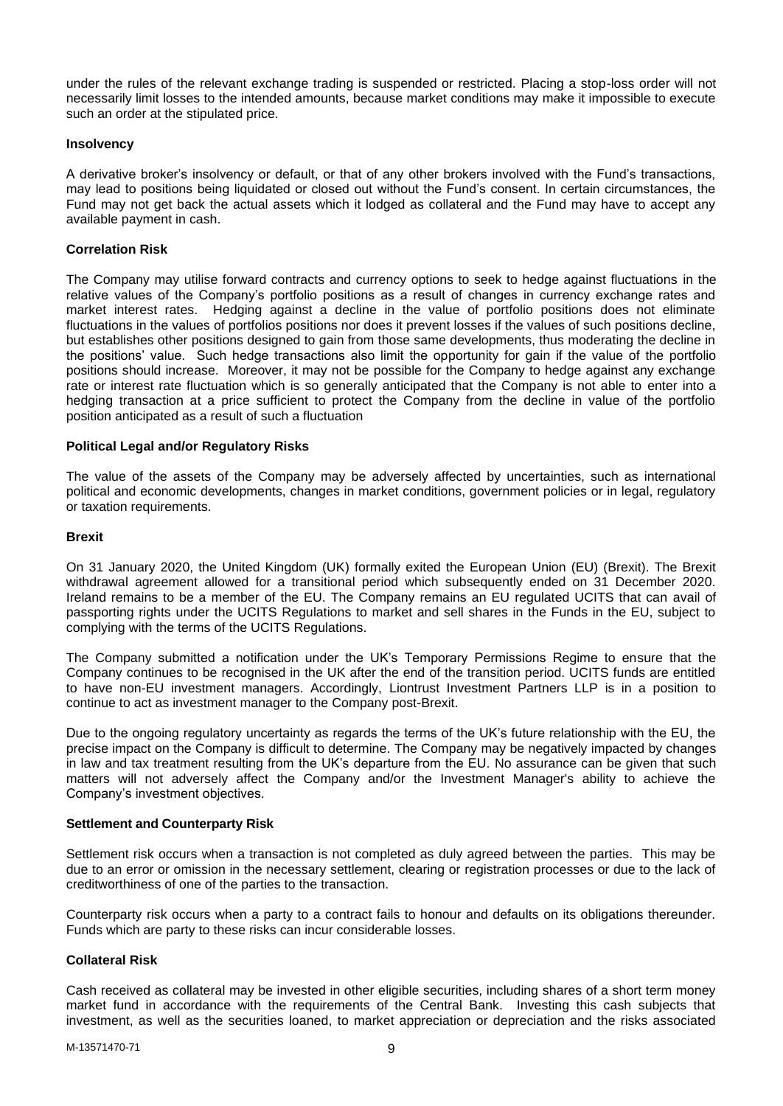under the rules of the relevant exchange trading is suspended or restricted. Placing a stop-loss order will not necessarily limit losses to the intended amounts, because market conditions may make it impossible to execute such an order at the stipulated price.

### **Insolvency**

A derivative broker's insolvency or default, or that of any other brokers involved with the Fund's transactions, may lead to positions being liquidated or closed out without the Fund's consent. In certain circumstances, the Fund may not get back the actual assets which it lodged as collateral and the Fund may have to accept any available payment in cash.

## **Correlation Risk**

The Company may utilise forward contracts and currency options to seek to hedge against fluctuations in the relative values of the Company's portfolio positions as a result of changes in currency exchange rates and market interest rates. Hedging against a decline in the value of portfolio positions does not eliminate fluctuations in the values of portfolios positions nor does it prevent losses if the values of such positions decline, but establishes other positions designed to gain from those same developments, thus moderating the decline in the positions' value. Such hedge transactions also limit the opportunity for gain if the value of the portfolio positions should increase. Moreover, it may not be possible for the Company to hedge against any exchange rate or interest rate fluctuation which is so generally anticipated that the Company is not able to enter into a hedging transaction at a price sufficient to protect the Company from the decline in value of the portfolio position anticipated as a result of such a fluctuation

## **Political Legal and/or Regulatory Risks**

The value of the assets of the Company may be adversely affected by uncertainties, such as international political and economic developments, changes in market conditions, government policies or in legal, regulatory or taxation requirements.

#### **Brexit**

On 31 January 2020, the United Kingdom (UK) formally exited the European Union (EU) (Brexit). The Brexit withdrawal agreement allowed for a transitional period which subsequently ended on 31 December 2020. Ireland remains to be a member of the EU. The Company remains an EU regulated UCITS that can avail of passporting rights under the UCITS Regulations to market and sell shares in the Funds in the EU, subject to complying with the terms of the UCITS Regulations.

The Company submitted a notification under the UK's Temporary Permissions Regime to ensure that the Company continues to be recognised in the UK after the end of the transition period. UCITS funds are entitled to have non-EU investment managers. Accordingly, Liontrust Investment Partners LLP is in a position to continue to act as investment manager to the Company post-Brexit.

Due to the ongoing regulatory uncertainty as regards the terms of the UK's future relationship with the EU, the precise impact on the Company is difficult to determine. The Company may be negatively impacted by changes in law and tax treatment resulting from the UK's departure from the EU. No assurance can be given that such matters will not adversely affect the Company and/or the Investment Manager's ability to achieve the Company's investment objectives.

#### **Settlement and Counterparty Risk**

Settlement risk occurs when a transaction is not completed as duly agreed between the parties. This may be due to an error or omission in the necessary settlement, clearing or registration processes or due to the lack of creditworthiness of one of the parties to the transaction.

Counterparty risk occurs when a party to a contract fails to honour and defaults on its obligations thereunder. Funds which are party to these risks can incur considerable losses.

#### **Collateral Risk**

Cash received as collateral may be invested in other eligible securities, including shares of a short term money market fund in accordance with the requirements of the Central Bank. Investing this cash subjects that investment, as well as the securities loaned, to market appreciation or depreciation and the risks associated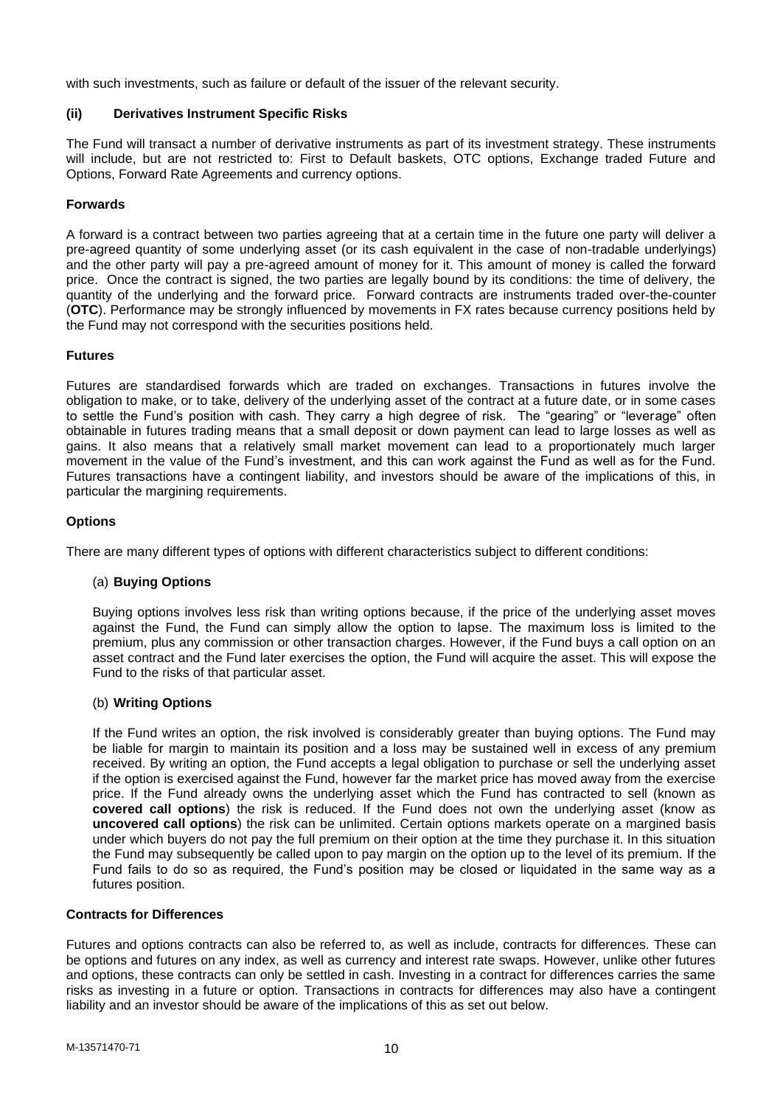with such investments, such as failure or default of the issuer of the relevant security.

## **(ii) Derivatives Instrument Specific Risks**

The Fund will transact a number of derivative instruments as part of its investment strategy. These instruments will include, but are not restricted to: First to Default baskets, OTC options, Exchange traded Future and Options, Forward Rate Agreements and currency options.

## **Forwards**

A forward is a contract between two parties agreeing that at a certain time in the future one party will deliver a pre-agreed quantity of some underlying asset (or its cash equivalent in the case of non-tradable underlyings) and the other party will pay a pre-agreed amount of money for it. This amount of money is called the forward price. Once the contract is signed, the two parties are legally bound by its conditions: the time of delivery, the quantity of the underlying and the forward price. Forward contracts are instruments traded over-the-counter (**OTC**). Performance may be strongly influenced by movements in FX rates because currency positions held by the Fund may not correspond with the securities positions held.

## **Futures**

Futures are standardised forwards which are traded on exchanges. Transactions in futures involve the obligation to make, or to take, delivery of the underlying asset of the contract at a future date, or in some cases to settle the Fund's position with cash. They carry a high degree of risk. The "gearing" or "leverage" often obtainable in futures trading means that a small deposit or down payment can lead to large losses as well as gains. It also means that a relatively small market movement can lead to a proportionately much larger movement in the value of the Fund's investment, and this can work against the Fund as well as for the Fund. Futures transactions have a contingent liability, and investors should be aware of the implications of this, in particular the margining requirements.

## **Options**

There are many different types of options with different characteristics subject to different conditions:

#### (a) **Buying Options**

Buying options involves less risk than writing options because, if the price of the underlying asset moves against the Fund, the Fund can simply allow the option to lapse. The maximum loss is limited to the premium, plus any commission or other transaction charges. However, if the Fund buys a call option on an asset contract and the Fund later exercises the option, the Fund will acquire the asset. This will expose the Fund to the risks of that particular asset.

#### (b) **Writing Options**

If the Fund writes an option, the risk involved is considerably greater than buying options. The Fund may be liable for margin to maintain its position and a loss may be sustained well in excess of any premium received. By writing an option, the Fund accepts a legal obligation to purchase or sell the underlying asset if the option is exercised against the Fund, however far the market price has moved away from the exercise price. If the Fund already owns the underlying asset which the Fund has contracted to sell (known as **covered call options**) the risk is reduced. If the Fund does not own the underlying asset (know as **uncovered call options**) the risk can be unlimited. Certain options markets operate on a margined basis under which buyers do not pay the full premium on their option at the time they purchase it. In this situation the Fund may subsequently be called upon to pay margin on the option up to the level of its premium. If the Fund fails to do so as required, the Fund's position may be closed or liquidated in the same way as a futures position.

#### **Contracts for Differences**

Futures and options contracts can also be referred to, as well as include, contracts for differences. These can be options and futures on any index, as well as currency and interest rate swaps. However, unlike other futures and options, these contracts can only be settled in cash. Investing in a contract for differences carries the same risks as investing in a future or option. Transactions in contracts for differences may also have a contingent liability and an investor should be aware of the implications of this as set out below.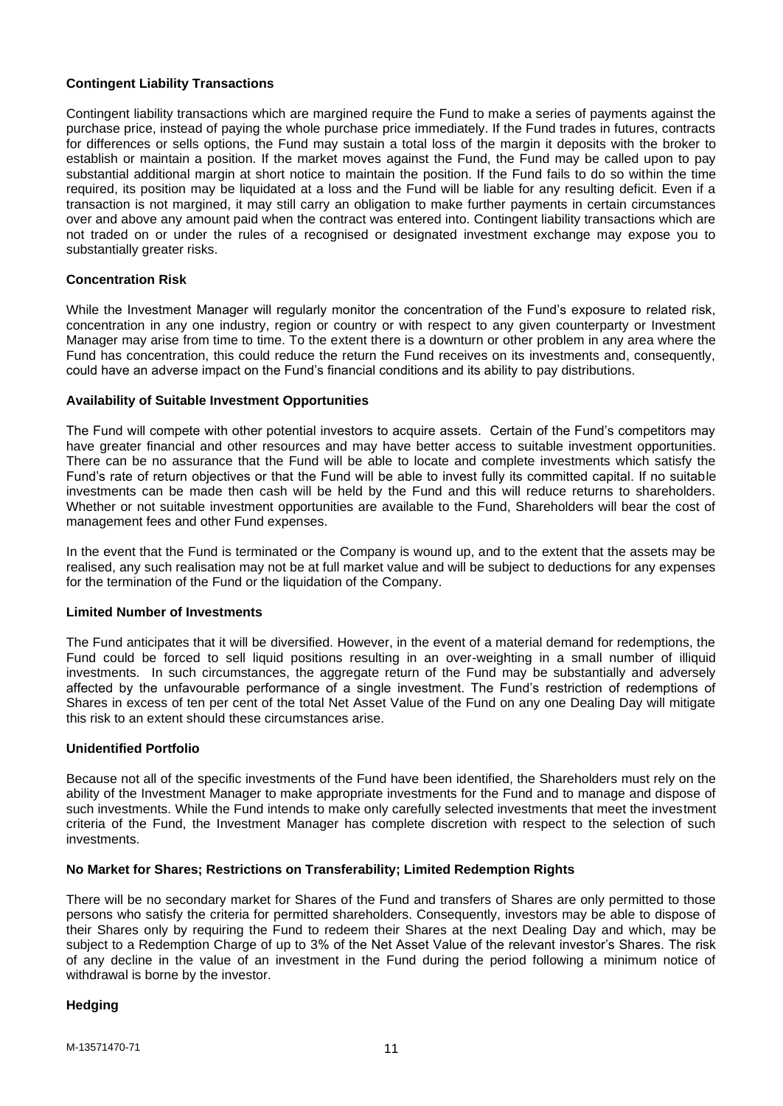## **Contingent Liability Transactions**

Contingent liability transactions which are margined require the Fund to make a series of payments against the purchase price, instead of paying the whole purchase price immediately. If the Fund trades in futures, contracts for differences or sells options, the Fund may sustain a total loss of the margin it deposits with the broker to establish or maintain a position. If the market moves against the Fund, the Fund may be called upon to pay substantial additional margin at short notice to maintain the position. If the Fund fails to do so within the time required, its position may be liquidated at a loss and the Fund will be liable for any resulting deficit. Even if a transaction is not margined, it may still carry an obligation to make further payments in certain circumstances over and above any amount paid when the contract was entered into. Contingent liability transactions which are not traded on or under the rules of a recognised or designated investment exchange may expose you to substantially greater risks.

## **Concentration Risk**

While the Investment Manager will regularly monitor the concentration of the Fund's exposure to related risk, concentration in any one industry, region or country or with respect to any given counterparty or Investment Manager may arise from time to time. To the extent there is a downturn or other problem in any area where the Fund has concentration, this could reduce the return the Fund receives on its investments and, consequently, could have an adverse impact on the Fund's financial conditions and its ability to pay distributions.

## **Availability of Suitable Investment Opportunities**

The Fund will compete with other potential investors to acquire assets. Certain of the Fund's competitors may have greater financial and other resources and may have better access to suitable investment opportunities. There can be no assurance that the Fund will be able to locate and complete investments which satisfy the Fund's rate of return objectives or that the Fund will be able to invest fully its committed capital. If no suitable investments can be made then cash will be held by the Fund and this will reduce returns to shareholders. Whether or not suitable investment opportunities are available to the Fund, Shareholders will bear the cost of management fees and other Fund expenses.

In the event that the Fund is terminated or the Company is wound up, and to the extent that the assets may be realised, any such realisation may not be at full market value and will be subject to deductions for any expenses for the termination of the Fund or the liquidation of the Company.

#### **Limited Number of Investments**

The Fund anticipates that it will be diversified. However, in the event of a material demand for redemptions, the Fund could be forced to sell liquid positions resulting in an over-weighting in a small number of illiquid investments. In such circumstances, the aggregate return of the Fund may be substantially and adversely affected by the unfavourable performance of a single investment. The Fund's restriction of redemptions of Shares in excess of ten per cent of the total Net Asset Value of the Fund on any one Dealing Day will mitigate this risk to an extent should these circumstances arise.

#### **Unidentified Portfolio**

Because not all of the specific investments of the Fund have been identified, the Shareholders must rely on the ability of the Investment Manager to make appropriate investments for the Fund and to manage and dispose of such investments. While the Fund intends to make only carefully selected investments that meet the investment criteria of the Fund, the Investment Manager has complete discretion with respect to the selection of such investments.

## **No Market for Shares; Restrictions on Transferability; Limited Redemption Rights**

There will be no secondary market for Shares of the Fund and transfers of Shares are only permitted to those persons who satisfy the criteria for permitted shareholders. Consequently, investors may be able to dispose of their Shares only by requiring the Fund to redeem their Shares at the next Dealing Day and which, may be subject to a Redemption Charge of up to 3% of the Net Asset Value of the relevant investor's Shares. The risk of any decline in the value of an investment in the Fund during the period following a minimum notice of withdrawal is borne by the investor.

#### **Hedging**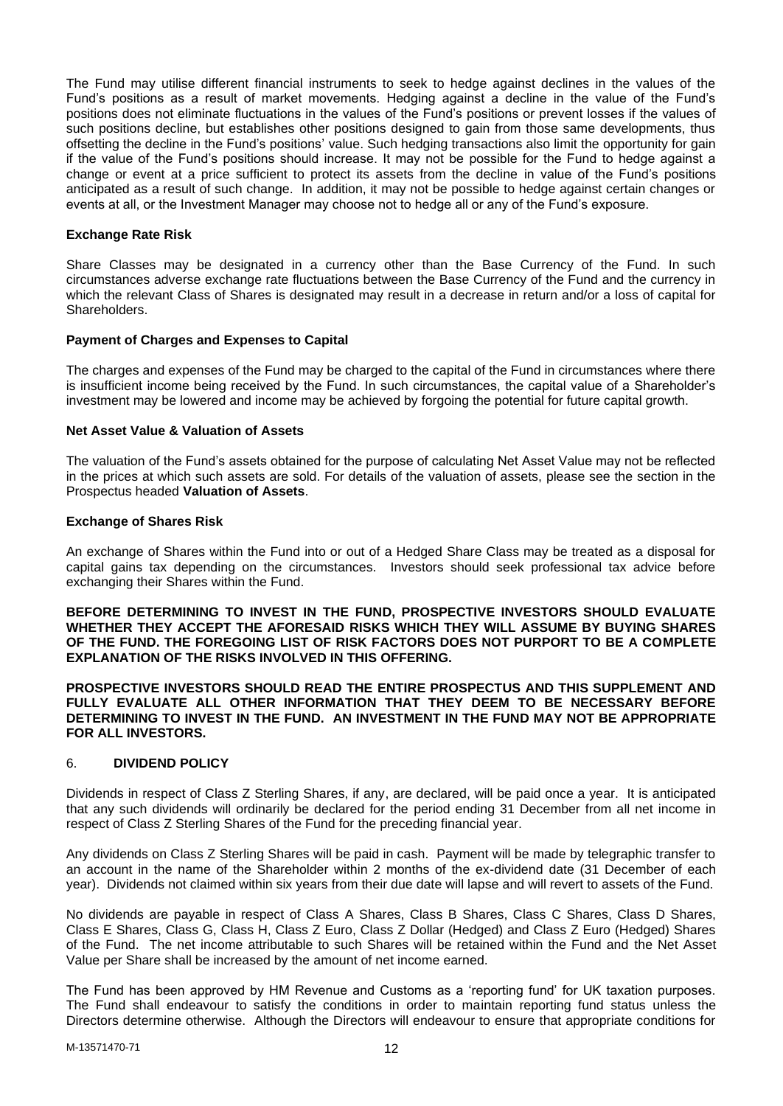The Fund may utilise different financial instruments to seek to hedge against declines in the values of the Fund's positions as a result of market movements. Hedging against a decline in the value of the Fund's positions does not eliminate fluctuations in the values of the Fund's positions or prevent losses if the values of such positions decline, but establishes other positions designed to gain from those same developments, thus offsetting the decline in the Fund's positions' value. Such hedging transactions also limit the opportunity for gain if the value of the Fund's positions should increase. It may not be possible for the Fund to hedge against a change or event at a price sufficient to protect its assets from the decline in value of the Fund's positions anticipated as a result of such change. In addition, it may not be possible to hedge against certain changes or events at all, or the Investment Manager may choose not to hedge all or any of the Fund's exposure.

## **Exchange Rate Risk**

Share Classes may be designated in a currency other than the Base Currency of the Fund. In such circumstances adverse exchange rate fluctuations between the Base Currency of the Fund and the currency in which the relevant Class of Shares is designated may result in a decrease in return and/or a loss of capital for Shareholders.

### **Payment of Charges and Expenses to Capital**

The charges and expenses of the Fund may be charged to the capital of the Fund in circumstances where there is insufficient income being received by the Fund. In such circumstances, the capital value of a Shareholder's investment may be lowered and income may be achieved by forgoing the potential for future capital growth.

## **Net Asset Value & Valuation of Assets**

The valuation of the Fund's assets obtained for the purpose of calculating Net Asset Value may not be reflected in the prices at which such assets are sold. For details of the valuation of assets, please see the section in the Prospectus headed **Valuation of Assets**.

#### **Exchange of Shares Risk**

An exchange of Shares within the Fund into or out of a Hedged Share Class may be treated as a disposal for capital gains tax depending on the circumstances. Investors should seek professional tax advice before exchanging their Shares within the Fund.

**BEFORE DETERMINING TO INVEST IN THE FUND, PROSPECTIVE INVESTORS SHOULD EVALUATE WHETHER THEY ACCEPT THE AFORESAID RISKS WHICH THEY WILL ASSUME BY BUYING SHARES OF THE FUND. THE FOREGOING LIST OF RISK FACTORS DOES NOT PURPORT TO BE A COMPLETE EXPLANATION OF THE RISKS INVOLVED IN THIS OFFERING.**

**PROSPECTIVE INVESTORS SHOULD READ THE ENTIRE PROSPECTUS AND THIS SUPPLEMENT AND FULLY EVALUATE ALL OTHER INFORMATION THAT THEY DEEM TO BE NECESSARY BEFORE DETERMINING TO INVEST IN THE FUND. AN INVESTMENT IN THE FUND MAY NOT BE APPROPRIATE FOR ALL INVESTORS.**

#### <span id="page-11-0"></span>6. **DIVIDEND POLICY**

Dividends in respect of Class Z Sterling Shares, if any, are declared, will be paid once a year. It is anticipated that any such dividends will ordinarily be declared for the period ending 31 December from all net income in respect of Class Z Sterling Shares of the Fund for the preceding financial year.

Any dividends on Class Z Sterling Shares will be paid in cash. Payment will be made by telegraphic transfer to an account in the name of the Shareholder within 2 months of the ex-dividend date (31 December of each year). Dividends not claimed within six years from their due date will lapse and will revert to assets of the Fund.

No dividends are payable in respect of Class A Shares, Class B Shares, Class C Shares, Class D Shares, Class E Shares, Class G, Class H, Class Z Euro, Class Z Dollar (Hedged) and Class Z Euro (Hedged) Shares of the Fund. The net income attributable to such Shares will be retained within the Fund and the Net Asset Value per Share shall be increased by the amount of net income earned.

The Fund has been approved by HM Revenue and Customs as a 'reporting fund' for UK taxation purposes. The Fund shall endeavour to satisfy the conditions in order to maintain reporting fund status unless the Directors determine otherwise. Although the Directors will endeavour to ensure that appropriate conditions for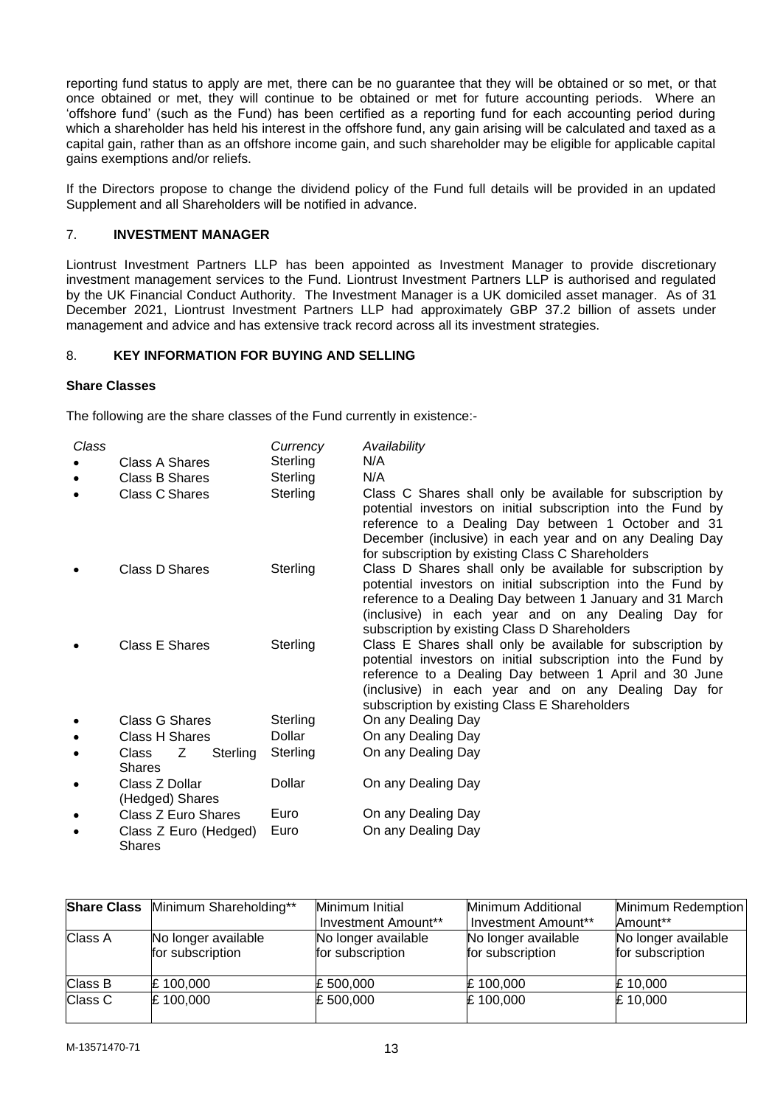reporting fund status to apply are met, there can be no guarantee that they will be obtained or so met, or that once obtained or met, they will continue to be obtained or met for future accounting periods. Where an 'offshore fund' (such as the Fund) has been certified as a reporting fund for each accounting period during which a shareholder has held his interest in the offshore fund, any gain arising will be calculated and taxed as a capital gain, rather than as an offshore income gain, and such shareholder may be eligible for applicable capital gains exemptions and/or reliefs.

If the Directors propose to change the dividend policy of the Fund full details will be provided in an updated Supplement and all Shareholders will be notified in advance.

## <span id="page-12-0"></span>7. **INVESTMENT MANAGER**

Liontrust Investment Partners LLP has been appointed as Investment Manager to provide discretionary investment management services to the Fund. Liontrust Investment Partners LLP is authorised and regulated by the UK Financial Conduct Authority. The Investment Manager is a UK domiciled asset manager. As of 31 December 2021, Liontrust Investment Partners LLP had approximately GBP 37.2 billion of assets under management and advice and has extensive track record across all its investment strategies.

## <span id="page-12-1"></span>8. **KEY INFORMATION FOR BUYING AND SELLING**

## **Share Classes**

The following are the share classes of the Fund currently in existence:-

| Class     | Class A Shares<br>Class B Shares<br>Class C Shares |          | Currency<br>Sterling<br>Sterling<br>Sterling | Availability<br>N/A<br>N/A<br>Class C Shares shall only be available for subscription by<br>potential investors on initial subscription into the Fund by<br>reference to a Dealing Day between 1 October and 31<br>December (inclusive) in each year and on any Dealing Day<br>for subscription by existing Class C Shareholders |
|-----------|----------------------------------------------------|----------|----------------------------------------------|----------------------------------------------------------------------------------------------------------------------------------------------------------------------------------------------------------------------------------------------------------------------------------------------------------------------------------|
|           | Class D Shares                                     |          | Sterling                                     | Class D Shares shall only be available for subscription by<br>potential investors on initial subscription into the Fund by<br>reference to a Dealing Day between 1 January and 31 March<br>(inclusive) in each year and on any Dealing Day for<br>subscription by existing Class D Shareholders                                  |
|           | Class E Shares                                     |          | Sterling                                     | Class E Shares shall only be available for subscription by<br>potential investors on initial subscription into the Fund by<br>reference to a Dealing Day between 1 April and 30 June<br>(inclusive) in each year and on any Dealing Day for<br>subscription by existing Class E Shareholders                                     |
|           | Class G Shares                                     |          | Sterling                                     | On any Dealing Day                                                                                                                                                                                                                                                                                                               |
| ٠         | <b>Class H Shares</b>                              |          | Dollar                                       | On any Dealing Day                                                                                                                                                                                                                                                                                                               |
| ٠         | Z<br>Class<br>Shares                               | Sterling | Sterling                                     | On any Dealing Day                                                                                                                                                                                                                                                                                                               |
| ٠         | Class Z Dollar<br>(Hedged) Shares                  |          | Dollar                                       | On any Dealing Day                                                                                                                                                                                                                                                                                                               |
| $\bullet$ | Class Z Euro Shares                                |          | Euro                                         | On any Dealing Day                                                                                                                                                                                                                                                                                                               |
| ٠         | Class Z Euro (Hedged)<br><b>Shares</b>             |          | Euro                                         | On any Dealing Day                                                                                                                                                                                                                                                                                                               |

| <b>Share Class</b> | Minimum Shareholding**                  | Minimum Initial<br>Investment Amount**  | Minimum Additional<br>Investment Amount** | Minimum Redemption<br>Amount**          |
|--------------------|-----------------------------------------|-----------------------------------------|-------------------------------------------|-----------------------------------------|
| Class A            | No longer available<br>for subscription | No longer available<br>for subscription | No longer available<br>for subscription   | No longer available<br>for subscription |
| Class B            | £100,000                                | £ 500,000                               | £100,000                                  | $E$ 10,000                              |
| Class C            | £100,000                                | £ 500,000                               | £100,000                                  | £10,000                                 |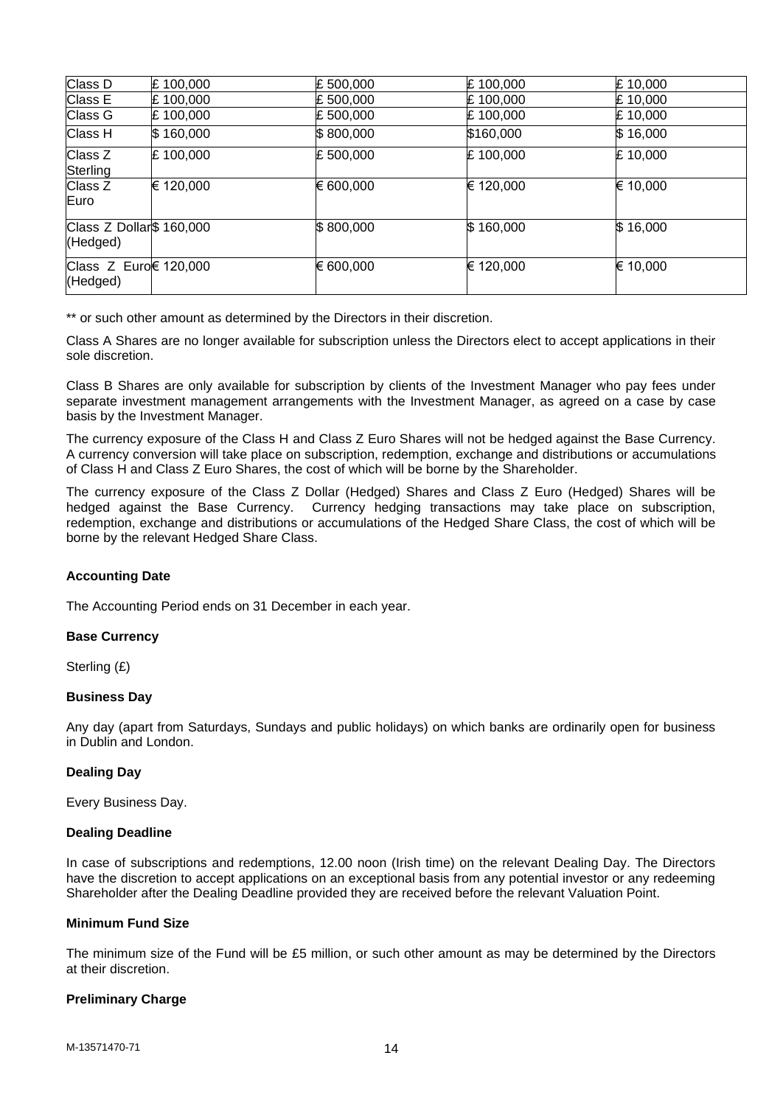| Class D                              | £100,000  | £500,000  | £100,000  | £ 10,000 |
|--------------------------------------|-----------|-----------|-----------|----------|
| Class E                              | £100,000  | £500,000  | £100,000  | £10.000  |
| Class G                              | £100,000  | £500,000  | £100,000  | £ 10,000 |
| Class H                              | \$160,000 | \$800,000 | \$160,000 | \$16,000 |
| Class Z<br>Sterling                  | £100,000  | £500,000  | £100,000  | £ 10,000 |
| Class Z<br>Euro                      | € 120,000 | € 600,000 | € 120,000 | € 10,000 |
| Class Z Dollar\$ 160,000<br>(Hedged) |           | \$800,000 | \$160,000 | \$16,000 |
| Class Z Euro€ 120,000<br>(Hedged)    |           | € 600,000 | € 120,000 | € 10,000 |

\*\* or such other amount as determined by the Directors in their discretion.

Class A Shares are no longer available for subscription unless the Directors elect to accept applications in their sole discretion.

Class B Shares are only available for subscription by clients of the Investment Manager who pay fees under separate investment management arrangements with the Investment Manager, as agreed on a case by case basis by the Investment Manager.

The currency exposure of the Class H and Class Z Euro Shares will not be hedged against the Base Currency. A currency conversion will take place on subscription, redemption, exchange and distributions or accumulations of Class H and Class Z Euro Shares, the cost of which will be borne by the Shareholder.

The currency exposure of the Class Z Dollar (Hedged) Shares and Class Z Euro (Hedged) Shares will be hedged against the Base Currency. Currency hedging transactions may take place on subscription, redemption, exchange and distributions or accumulations of the Hedged Share Class, the cost of which will be borne by the relevant Hedged Share Class.

## **Accounting Date**

The Accounting Period ends on 31 December in each year.

#### **Base Currency**

Sterling (£)

#### **Business Day**

Any day (apart from Saturdays, Sundays and public holidays) on which banks are ordinarily open for business in Dublin and London.

#### **Dealing Day**

Every Business Day.

#### **Dealing Deadline**

In case of subscriptions and redemptions, 12.00 noon (Irish time) on the relevant Dealing Day. The Directors have the discretion to accept applications on an exceptional basis from any potential investor or any redeeming Shareholder after the Dealing Deadline provided they are received before the relevant Valuation Point.

## **Minimum Fund Size**

The minimum size of the Fund will be £5 million, or such other amount as may be determined by the Directors at their discretion.

#### **Preliminary Charge**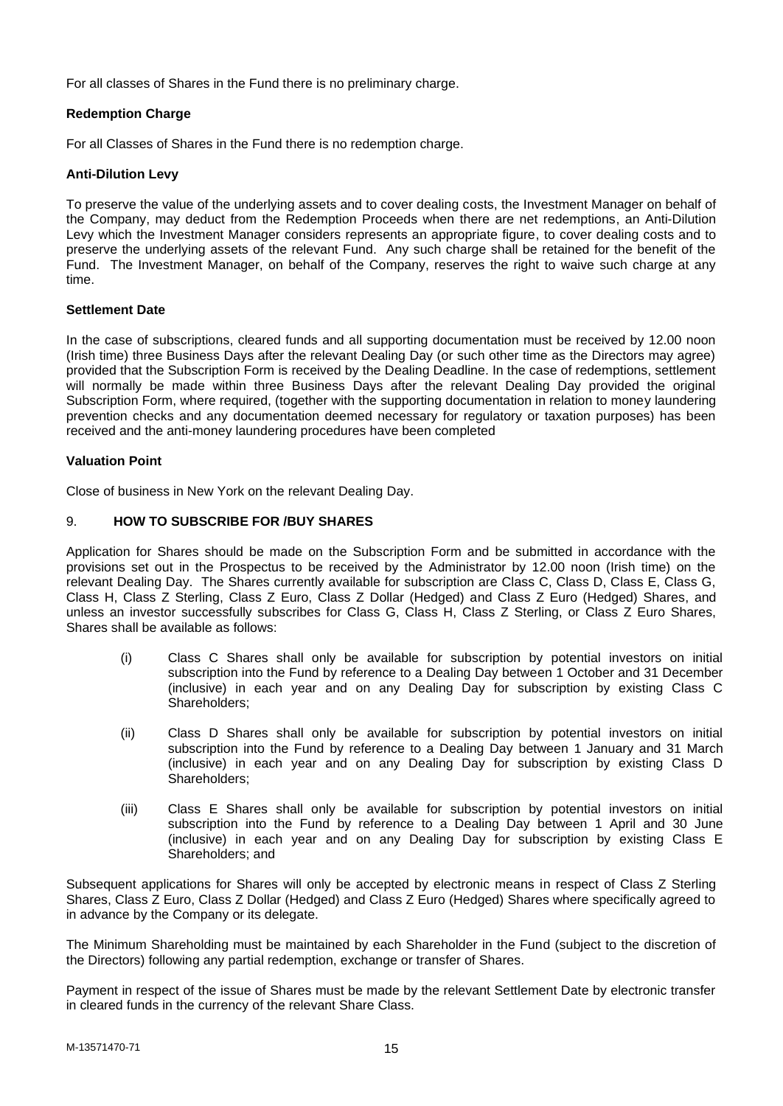For all classes of Shares in the Fund there is no preliminary charge.

## **Redemption Charge**

For all Classes of Shares in the Fund there is no redemption charge.

## **Anti-Dilution Levy**

To preserve the value of the underlying assets and to cover dealing costs, the Investment Manager on behalf of the Company, may deduct from the Redemption Proceeds when there are net redemptions, an Anti-Dilution Levy which the Investment Manager considers represents an appropriate figure, to cover dealing costs and to preserve the underlying assets of the relevant Fund. Any such charge shall be retained for the benefit of the Fund. The Investment Manager, on behalf of the Company, reserves the right to waive such charge at any time.

## **Settlement Date**

In the case of subscriptions, cleared funds and all supporting documentation must be received by 12.00 noon (Irish time) three Business Days after the relevant Dealing Day (or such other time as the Directors may agree) provided that the Subscription Form is received by the Dealing Deadline. In the case of redemptions, settlement will normally be made within three Business Days after the relevant Dealing Day provided the original Subscription Form, where required, (together with the supporting documentation in relation to money laundering prevention checks and any documentation deemed necessary for regulatory or taxation purposes) has been received and the anti-money laundering procedures have been completed

## **Valuation Point**

Close of business in New York on the relevant Dealing Day.

## <span id="page-14-0"></span>9. **HOW TO SUBSCRIBE FOR /BUY SHARES**

Application for Shares should be made on the Subscription Form and be submitted in accordance with the provisions set out in the Prospectus to be received by the Administrator by 12.00 noon (Irish time) on the relevant Dealing Day. The Shares currently available for subscription are Class C, Class D, Class E, Class G, Class H, Class Z Sterling, Class Z Euro, Class Z Dollar (Hedged) and Class Z Euro (Hedged) Shares, and unless an investor successfully subscribes for Class G, Class H, Class Z Sterling, or Class Z Euro Shares, Shares shall be available as follows:

- (i) Class C Shares shall only be available for subscription by potential investors on initial subscription into the Fund by reference to a Dealing Day between 1 October and 31 December (inclusive) in each year and on any Dealing Day for subscription by existing Class C Shareholders;
- (ii) Class D Shares shall only be available for subscription by potential investors on initial subscription into the Fund by reference to a Dealing Day between 1 January and 31 March (inclusive) in each year and on any Dealing Day for subscription by existing Class D Shareholders;
- (iii) Class E Shares shall only be available for subscription by potential investors on initial subscription into the Fund by reference to a Dealing Day between 1 April and 30 June (inclusive) in each year and on any Dealing Day for subscription by existing Class E Shareholders; and

Subsequent applications for Shares will only be accepted by electronic means in respect of Class Z Sterling Shares, Class Z Euro, Class Z Dollar (Hedged) and Class Z Euro (Hedged) Shares where specifically agreed to in advance by the Company or its delegate.

The Minimum Shareholding must be maintained by each Shareholder in the Fund (subject to the discretion of the Directors) following any partial redemption, exchange or transfer of Shares.

Payment in respect of the issue of Shares must be made by the relevant Settlement Date by electronic transfer in cleared funds in the currency of the relevant Share Class.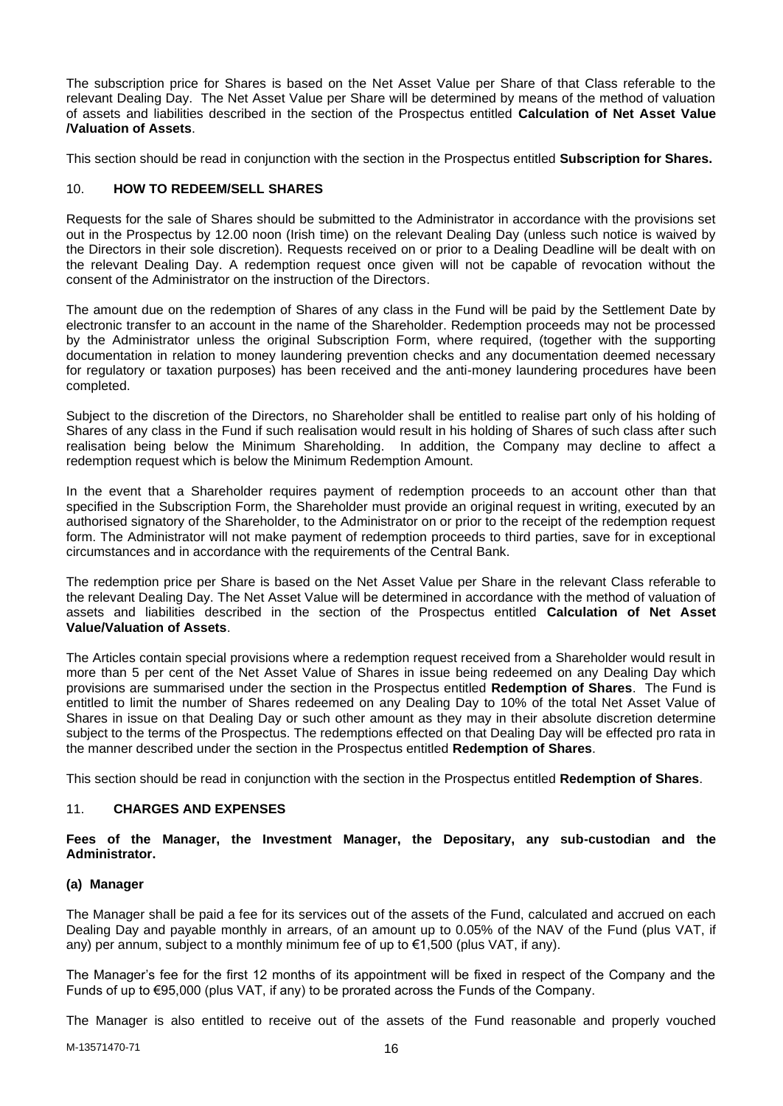The subscription price for Shares is based on the Net Asset Value per Share of that Class referable to the relevant Dealing Day. The Net Asset Value per Share will be determined by means of the method of valuation of assets and liabilities described in the section of the Prospectus entitled **Calculation of Net Asset Value /Valuation of Assets**.

This section should be read in conjunction with the section in the Prospectus entitled **Subscription for Shares.**

## <span id="page-15-0"></span>10. **HOW TO REDEEM/SELL SHARES**

Requests for the sale of Shares should be submitted to the Administrator in accordance with the provisions set out in the Prospectus by 12.00 noon (Irish time) on the relevant Dealing Day (unless such notice is waived by the Directors in their sole discretion). Requests received on or prior to a Dealing Deadline will be dealt with on the relevant Dealing Day. A redemption request once given will not be capable of revocation without the consent of the Administrator on the instruction of the Directors.

The amount due on the redemption of Shares of any class in the Fund will be paid by the Settlement Date by electronic transfer to an account in the name of the Shareholder. Redemption proceeds may not be processed by the Administrator unless the original Subscription Form, where required, (together with the supporting documentation in relation to money laundering prevention checks and any documentation deemed necessary for regulatory or taxation purposes) has been received and the anti-money laundering procedures have been completed.

Subject to the discretion of the Directors, no Shareholder shall be entitled to realise part only of his holding of Shares of any class in the Fund if such realisation would result in his holding of Shares of such class after such realisation being below the Minimum Shareholding. In addition, the Company may decline to affect a redemption request which is below the Minimum Redemption Amount.

In the event that a Shareholder requires payment of redemption proceeds to an account other than that specified in the Subscription Form, the Shareholder must provide an original request in writing, executed by an authorised signatory of the Shareholder, to the Administrator on or prior to the receipt of the redemption request form. The Administrator will not make payment of redemption proceeds to third parties, save for in exceptional circumstances and in accordance with the requirements of the Central Bank.

The redemption price per Share is based on the Net Asset Value per Share in the relevant Class referable to the relevant Dealing Day. The Net Asset Value will be determined in accordance with the method of valuation of assets and liabilities described in the section of the Prospectus entitled **Calculation of Net Asset Value/Valuation of Assets**.

The Articles contain special provisions where a redemption request received from a Shareholder would result in more than 5 per cent of the Net Asset Value of Shares in issue being redeemed on any Dealing Day which provisions are summarised under the section in the Prospectus entitled **Redemption of Shares**. The Fund is entitled to limit the number of Shares redeemed on any Dealing Day to 10% of the total Net Asset Value of Shares in issue on that Dealing Day or such other amount as they may in their absolute discretion determine subject to the terms of the Prospectus. The redemptions effected on that Dealing Day will be effected pro rata in the manner described under the section in the Prospectus entitled **Redemption of Shares**.

This section should be read in conjunction with the section in the Prospectus entitled **Redemption of Shares**.

## <span id="page-15-1"></span>11. **CHARGES AND EXPENSES**

## **Fees of the Manager, the Investment Manager, the Depositary, any sub-custodian and the Administrator.**

#### **(a) Manager**

The Manager shall be paid a fee for its services out of the assets of the Fund, calculated and accrued on each Dealing Day and payable monthly in arrears, of an amount up to 0.05% of the NAV of the Fund (plus VAT, if any) per annum, subject to a monthly minimum fee of up to  $\epsilon$ 1,500 (plus VAT, if any).

The Manager's fee for the first 12 months of its appointment will be fixed in respect of the Company and the Funds of up to €95,000 (plus VAT, if any) to be prorated across the Funds of the Company.

The Manager is also entitled to receive out of the assets of the Fund reasonable and properly vouched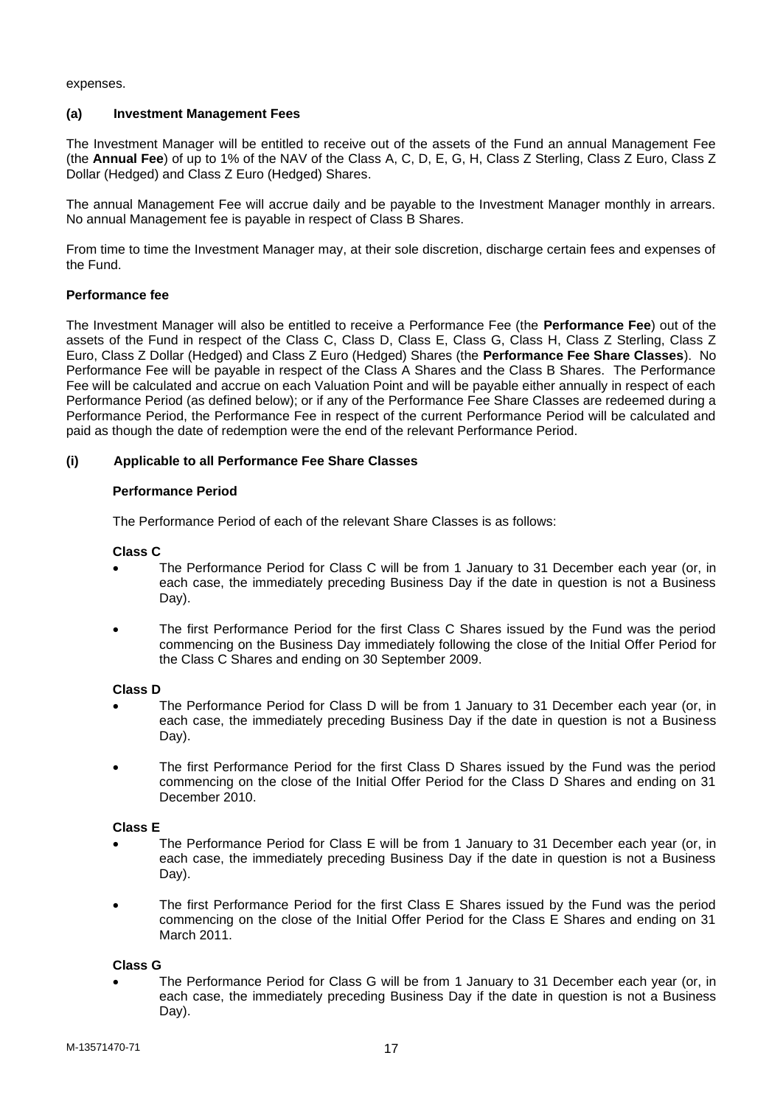expenses.

## **(a) Investment Management Fees**

The Investment Manager will be entitled to receive out of the assets of the Fund an annual Management Fee (the **Annual Fee**) of up to 1% of the NAV of the Class A, C, D, E, G, H, Class Z Sterling, Class Z Euro, Class Z Dollar (Hedged) and Class Z Euro (Hedged) Shares.

The annual Management Fee will accrue daily and be payable to the Investment Manager monthly in arrears. No annual Management fee is payable in respect of Class B Shares.

From time to time the Investment Manager may, at their sole discretion, discharge certain fees and expenses of the Fund.

## **Performance fee**

The Investment Manager will also be entitled to receive a Performance Fee (the **Performance Fee**) out of the assets of the Fund in respect of the Class C, Class D, Class E, Class G, Class H, Class Z Sterling, Class Z Euro, Class Z Dollar (Hedged) and Class Z Euro (Hedged) Shares (the **Performance Fee Share Classes**). No Performance Fee will be payable in respect of the Class A Shares and the Class B Shares. The Performance Fee will be calculated and accrue on each Valuation Point and will be payable either annually in respect of each Performance Period (as defined below); or if any of the Performance Fee Share Classes are redeemed during a Performance Period, the Performance Fee in respect of the current Performance Period will be calculated and paid as though the date of redemption were the end of the relevant Performance Period.

## **(i) Applicable to all Performance Fee Share Classes**

## **Performance Period**

The Performance Period of each of the relevant Share Classes is as follows:

#### **Class C**

- The Performance Period for Class C will be from 1 January to 31 December each year (or, in each case, the immediately preceding Business Day if the date in question is not a Business Day).
- The first Performance Period for the first Class C Shares issued by the Fund was the period commencing on the Business Day immediately following the close of the Initial Offer Period for the Class C Shares and ending on 30 September 2009.

#### **Class D**

- The Performance Period for Class D will be from 1 January to 31 December each year (or, in each case, the immediately preceding Business Day if the date in question is not a Business Day).
- The first Performance Period for the first Class D Shares issued by the Fund was the period commencing on the close of the Initial Offer Period for the Class D Shares and ending on 31 December 2010.

#### **Class E**

- The Performance Period for Class E will be from 1 January to 31 December each year (or, in each case, the immediately preceding Business Day if the date in question is not a Business Day).
- The first Performance Period for the first Class E Shares issued by the Fund was the period commencing on the close of the Initial Offer Period for the Class E Shares and ending on 31 March 2011.

## **Class G**

• The Performance Period for Class G will be from 1 January to 31 December each year (or, in each case, the immediately preceding Business Day if the date in question is not a Business Day).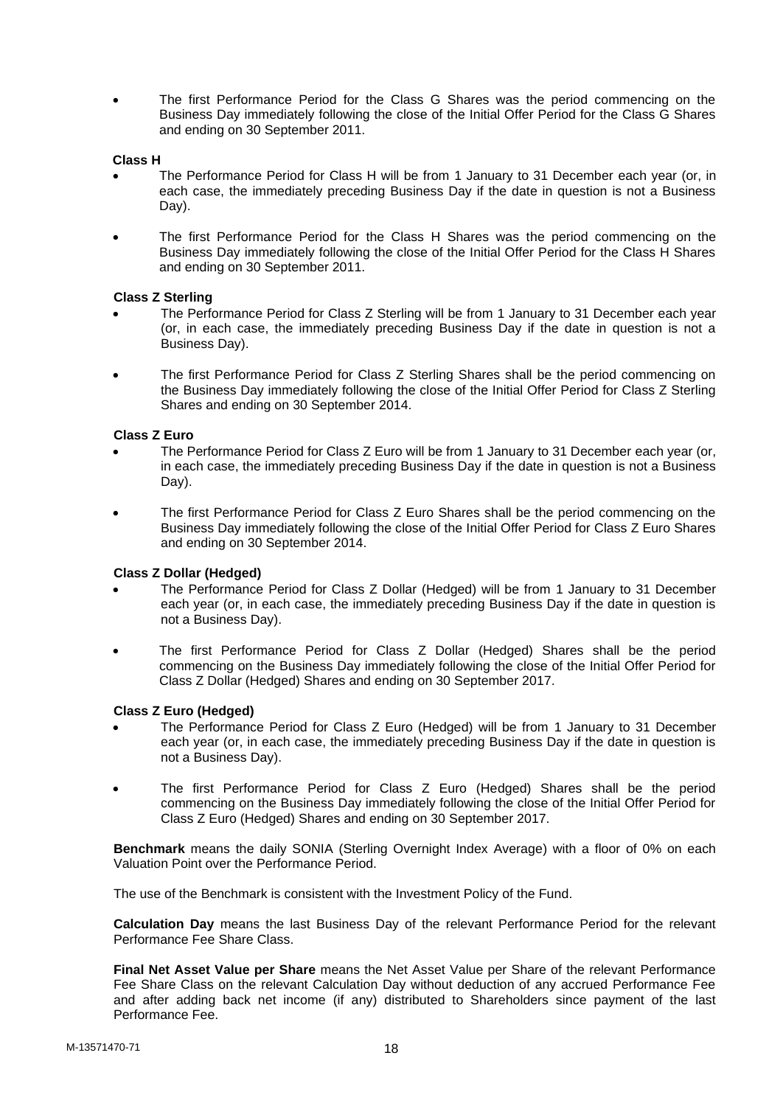• The first Performance Period for the Class G Shares was the period commencing on the Business Day immediately following the close of the Initial Offer Period for the Class G Shares and ending on 30 September 2011.

## **Class H**

- The Performance Period for Class H will be from 1 January to 31 December each year (or, in each case, the immediately preceding Business Day if the date in question is not a Business Day).
- The first Performance Period for the Class H Shares was the period commencing on the Business Day immediately following the close of the Initial Offer Period for the Class H Shares and ending on 30 September 2011.

## **Class Z Sterling**

- The Performance Period for Class Z Sterling will be from 1 January to 31 December each year (or, in each case, the immediately preceding Business Day if the date in question is not a Business Day).
- The first Performance Period for Class Z Sterling Shares shall be the period commencing on the Business Day immediately following the close of the Initial Offer Period for Class Z Sterling Shares and ending on 30 September 2014.

## **Class Z Euro**

- The Performance Period for Class Z Euro will be from 1 January to 31 December each year (or, in each case, the immediately preceding Business Day if the date in question is not a Business Day).
- The first Performance Period for Class Z Euro Shares shall be the period commencing on the Business Day immediately following the close of the Initial Offer Period for Class Z Euro Shares and ending on 30 September 2014.

#### **Class Z Dollar (Hedged)**

- The Performance Period for Class Z Dollar (Hedged) will be from 1 January to 31 December each year (or, in each case, the immediately preceding Business Day if the date in question is not a Business Day).
- The first Performance Period for Class Z Dollar (Hedged) Shares shall be the period commencing on the Business Day immediately following the close of the Initial Offer Period for Class Z Dollar (Hedged) Shares and ending on 30 September 2017.

#### **Class Z Euro (Hedged)**

- The Performance Period for Class Z Euro (Hedged) will be from 1 January to 31 December each year (or, in each case, the immediately preceding Business Day if the date in question is not a Business Day).
- The first Performance Period for Class Z Euro (Hedged) Shares shall be the period commencing on the Business Day immediately following the close of the Initial Offer Period for Class Z Euro (Hedged) Shares and ending on 30 September 2017.

**Benchmark** means the daily SONIA (Sterling Overnight Index Average) with a floor of 0% on each Valuation Point over the Performance Period.

The use of the Benchmark is consistent with the Investment Policy of the Fund.

**Calculation Day** means the last Business Day of the relevant Performance Period for the relevant Performance Fee Share Class.

**Final Net Asset Value per Share** means the Net Asset Value per Share of the relevant Performance Fee Share Class on the relevant Calculation Day without deduction of any accrued Performance Fee and after adding back net income (if any) distributed to Shareholders since payment of the last Performance Fee.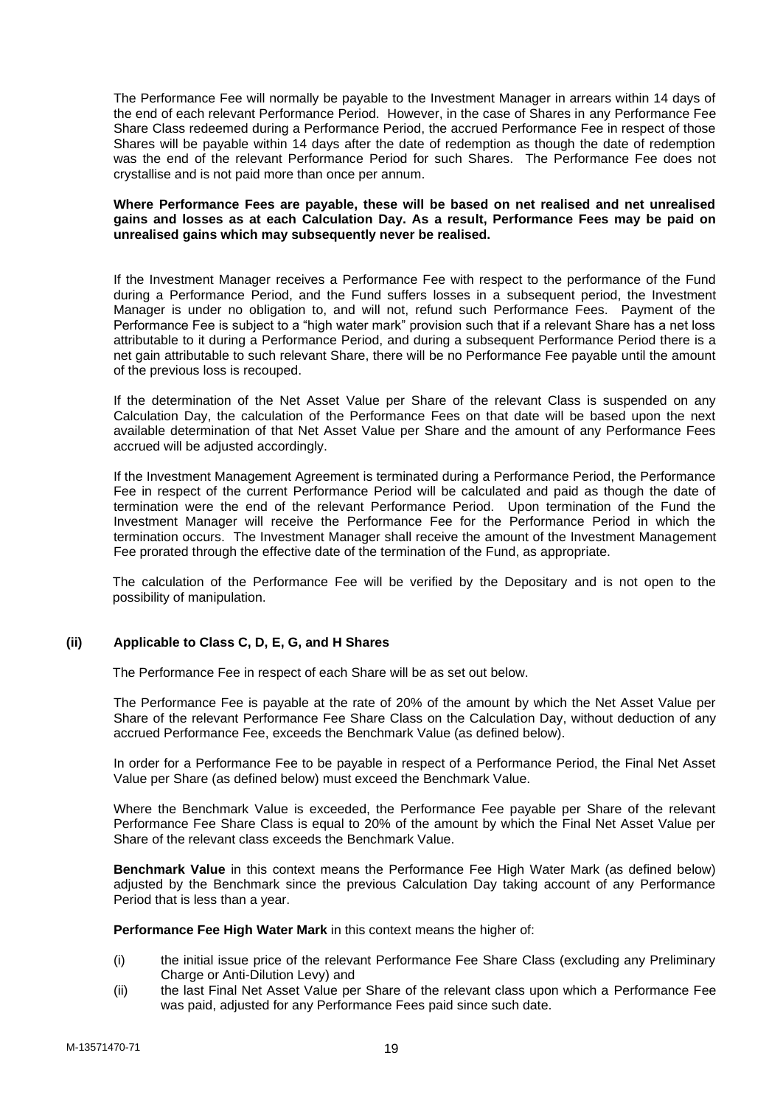The Performance Fee will normally be payable to the Investment Manager in arrears within 14 days of the end of each relevant Performance Period. However, in the case of Shares in any Performance Fee Share Class redeemed during a Performance Period, the accrued Performance Fee in respect of those Shares will be payable within 14 days after the date of redemption as though the date of redemption was the end of the relevant Performance Period for such Shares. The Performance Fee does not crystallise and is not paid more than once per annum.

#### **Where Performance Fees are payable, these will be based on net realised and net unrealised gains and losses as at each Calculation Day. As a result, Performance Fees may be paid on unrealised gains which may subsequently never be realised.**

If the Investment Manager receives a Performance Fee with respect to the performance of the Fund during a Performance Period, and the Fund suffers losses in a subsequent period, the Investment Manager is under no obligation to, and will not, refund such Performance Fees. Payment of the Performance Fee is subject to a "high water mark" provision such that if a relevant Share has a net loss attributable to it during a Performance Period, and during a subsequent Performance Period there is a net gain attributable to such relevant Share, there will be no Performance Fee payable until the amount of the previous loss is recouped.

If the determination of the Net Asset Value per Share of the relevant Class is suspended on any Calculation Day, the calculation of the Performance Fees on that date will be based upon the next available determination of that Net Asset Value per Share and the amount of any Performance Fees accrued will be adjusted accordingly.

If the Investment Management Agreement is terminated during a Performance Period, the Performance Fee in respect of the current Performance Period will be calculated and paid as though the date of termination were the end of the relevant Performance Period. Upon termination of the Fund the Investment Manager will receive the Performance Fee for the Performance Period in which the termination occurs. The Investment Manager shall receive the amount of the Investment Management Fee prorated through the effective date of the termination of the Fund, as appropriate.

The calculation of the Performance Fee will be verified by the Depositary and is not open to the possibility of manipulation.

## **(ii) Applicable to Class C, D, E, G, and H Shares**

The Performance Fee in respect of each Share will be as set out below.

The Performance Fee is payable at the rate of 20% of the amount by which the Net Asset Value per Share of the relevant Performance Fee Share Class on the Calculation Day, without deduction of any accrued Performance Fee, exceeds the Benchmark Value (as defined below).

In order for a Performance Fee to be payable in respect of a Performance Period, the Final Net Asset Value per Share (as defined below) must exceed the Benchmark Value.

Where the Benchmark Value is exceeded, the Performance Fee payable per Share of the relevant Performance Fee Share Class is equal to 20% of the amount by which the Final Net Asset Value per Share of the relevant class exceeds the Benchmark Value.

**Benchmark Value** in this context means the Performance Fee High Water Mark (as defined below) adjusted by the Benchmark since the previous Calculation Day taking account of any Performance Period that is less than a year.

**Performance Fee High Water Mark** in this context means the higher of:

- (i) the initial issue price of the relevant Performance Fee Share Class (excluding any Preliminary Charge or Anti-Dilution Levy) and
- (ii) the last Final Net Asset Value per Share of the relevant class upon which a Performance Fee was paid, adjusted for any Performance Fees paid since such date.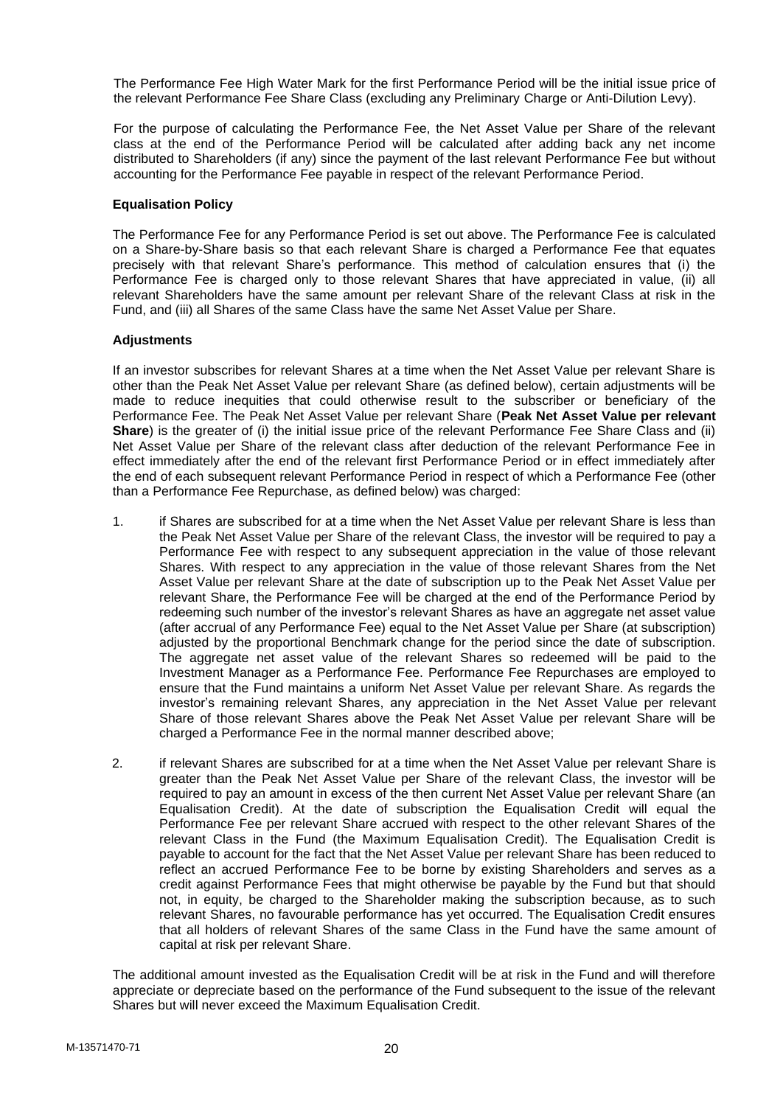The Performance Fee High Water Mark for the first Performance Period will be the initial issue price of the relevant Performance Fee Share Class (excluding any Preliminary Charge or Anti-Dilution Levy).

For the purpose of calculating the Performance Fee, the Net Asset Value per Share of the relevant class at the end of the Performance Period will be calculated after adding back any net income distributed to Shareholders (if any) since the payment of the last relevant Performance Fee but without accounting for the Performance Fee payable in respect of the relevant Performance Period.

## **Equalisation Policy**

The Performance Fee for any Performance Period is set out above. The Performance Fee is calculated on a Share-by-Share basis so that each relevant Share is charged a Performance Fee that equates precisely with that relevant Share's performance. This method of calculation ensures that (i) the Performance Fee is charged only to those relevant Shares that have appreciated in value, (ii) all relevant Shareholders have the same amount per relevant Share of the relevant Class at risk in the Fund, and (iii) all Shares of the same Class have the same Net Asset Value per Share.

#### **Adjustments**

If an investor subscribes for relevant Shares at a time when the Net Asset Value per relevant Share is other than the Peak Net Asset Value per relevant Share (as defined below), certain adjustments will be made to reduce inequities that could otherwise result to the subscriber or beneficiary of the Performance Fee. The Peak Net Asset Value per relevant Share (**Peak Net Asset Value per relevant Share**) is the greater of (i) the initial issue price of the relevant Performance Fee Share Class and (ii) Net Asset Value per Share of the relevant class after deduction of the relevant Performance Fee in effect immediately after the end of the relevant first Performance Period or in effect immediately after the end of each subsequent relevant Performance Period in respect of which a Performance Fee (other than a Performance Fee Repurchase, as defined below) was charged:

- 1. if Shares are subscribed for at a time when the Net Asset Value per relevant Share is less than the Peak Net Asset Value per Share of the relevant Class, the investor will be required to pay a Performance Fee with respect to any subsequent appreciation in the value of those relevant Shares. With respect to any appreciation in the value of those relevant Shares from the Net Asset Value per relevant Share at the date of subscription up to the Peak Net Asset Value per relevant Share, the Performance Fee will be charged at the end of the Performance Period by redeeming such number of the investor's relevant Shares as have an aggregate net asset value (after accrual of any Performance Fee) equal to the Net Asset Value per Share (at subscription) adjusted by the proportional Benchmark change for the period since the date of subscription. The aggregate net asset value of the relevant Shares so redeemed will be paid to the Investment Manager as a Performance Fee. Performance Fee Repurchases are employed to ensure that the Fund maintains a uniform Net Asset Value per relevant Share. As regards the investor's remaining relevant Shares, any appreciation in the Net Asset Value per relevant Share of those relevant Shares above the Peak Net Asset Value per relevant Share will be charged a Performance Fee in the normal manner described above;
- 2. if relevant Shares are subscribed for at a time when the Net Asset Value per relevant Share is greater than the Peak Net Asset Value per Share of the relevant Class, the investor will be required to pay an amount in excess of the then current Net Asset Value per relevant Share (an Equalisation Credit). At the date of subscription the Equalisation Credit will equal the Performance Fee per relevant Share accrued with respect to the other relevant Shares of the relevant Class in the Fund (the Maximum Equalisation Credit). The Equalisation Credit is payable to account for the fact that the Net Asset Value per relevant Share has been reduced to reflect an accrued Performance Fee to be borne by existing Shareholders and serves as a credit against Performance Fees that might otherwise be payable by the Fund but that should not, in equity, be charged to the Shareholder making the subscription because, as to such relevant Shares, no favourable performance has yet occurred. The Equalisation Credit ensures that all holders of relevant Shares of the same Class in the Fund have the same amount of capital at risk per relevant Share.

The additional amount invested as the Equalisation Credit will be at risk in the Fund and will therefore appreciate or depreciate based on the performance of the Fund subsequent to the issue of the relevant Shares but will never exceed the Maximum Equalisation Credit.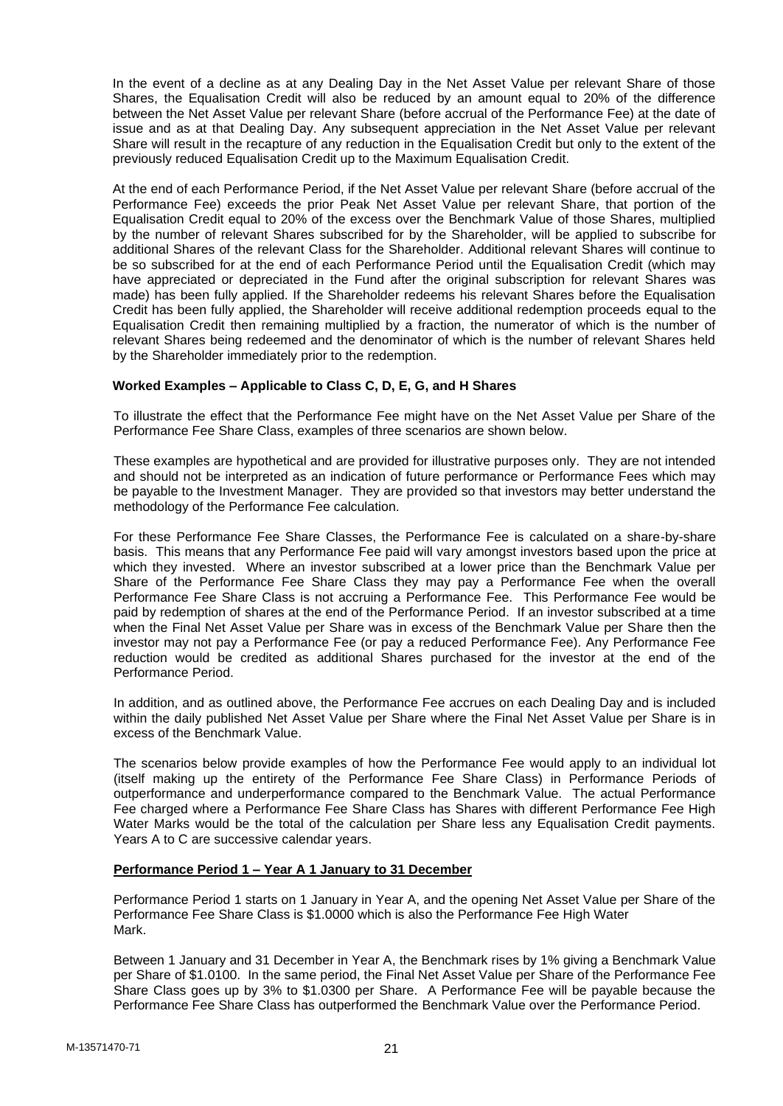In the event of a decline as at any Dealing Day in the Net Asset Value per relevant Share of those Shares, the Equalisation Credit will also be reduced by an amount equal to 20% of the difference between the Net Asset Value per relevant Share (before accrual of the Performance Fee) at the date of issue and as at that Dealing Day. Any subsequent appreciation in the Net Asset Value per relevant Share will result in the recapture of any reduction in the Equalisation Credit but only to the extent of the previously reduced Equalisation Credit up to the Maximum Equalisation Credit.

At the end of each Performance Period, if the Net Asset Value per relevant Share (before accrual of the Performance Fee) exceeds the prior Peak Net Asset Value per relevant Share, that portion of the Equalisation Credit equal to 20% of the excess over the Benchmark Value of those Shares, multiplied by the number of relevant Shares subscribed for by the Shareholder, will be applied to subscribe for additional Shares of the relevant Class for the Shareholder. Additional relevant Shares will continue to be so subscribed for at the end of each Performance Period until the Equalisation Credit (which may have appreciated or depreciated in the Fund after the original subscription for relevant Shares was made) has been fully applied. If the Shareholder redeems his relevant Shares before the Equalisation Credit has been fully applied, the Shareholder will receive additional redemption proceeds equal to the Equalisation Credit then remaining multiplied by a fraction, the numerator of which is the number of relevant Shares being redeemed and the denominator of which is the number of relevant Shares held by the Shareholder immediately prior to the redemption.

## **Worked Examples – Applicable to Class C, D, E, G, and H Shares**

To illustrate the effect that the Performance Fee might have on the Net Asset Value per Share of the Performance Fee Share Class, examples of three scenarios are shown below.

These examples are hypothetical and are provided for illustrative purposes only. They are not intended and should not be interpreted as an indication of future performance or Performance Fees which may be payable to the Investment Manager. They are provided so that investors may better understand the methodology of the Performance Fee calculation.

For these Performance Fee Share Classes, the Performance Fee is calculated on a share-by-share basis. This means that any Performance Fee paid will vary amongst investors based upon the price at which they invested. Where an investor subscribed at a lower price than the Benchmark Value per Share of the Performance Fee Share Class they may pay a Performance Fee when the overall Performance Fee Share Class is not accruing a Performance Fee. This Performance Fee would be paid by redemption of shares at the end of the Performance Period. If an investor subscribed at a time when the Final Net Asset Value per Share was in excess of the Benchmark Value per Share then the investor may not pay a Performance Fee (or pay a reduced Performance Fee). Any Performance Fee reduction would be credited as additional Shares purchased for the investor at the end of the Performance Period.

In addition, and as outlined above, the Performance Fee accrues on each Dealing Day and is included within the daily published Net Asset Value per Share where the Final Net Asset Value per Share is in excess of the Benchmark Value.

The scenarios below provide examples of how the Performance Fee would apply to an individual lot (itself making up the entirety of the Performance Fee Share Class) in Performance Periods of outperformance and underperformance compared to the Benchmark Value. The actual Performance Fee charged where a Performance Fee Share Class has Shares with different Performance Fee High Water Marks would be the total of the calculation per Share less any Equalisation Credit payments. Years A to C are successive calendar years.

## **Performance Period 1 – Year A 1 January to 31 December**

Performance Period 1 starts on 1 January in Year A, and the opening Net Asset Value per Share of the Performance Fee Share Class is \$1.0000 which is also the Performance Fee High Water Mark.

Between 1 January and 31 December in Year A, the Benchmark rises by 1% giving a Benchmark Value per Share of \$1.0100. In the same period, the Final Net Asset Value per Share of the Performance Fee Share Class goes up by 3% to \$1.0300 per Share. A Performance Fee will be payable because the Performance Fee Share Class has outperformed the Benchmark Value over the Performance Period.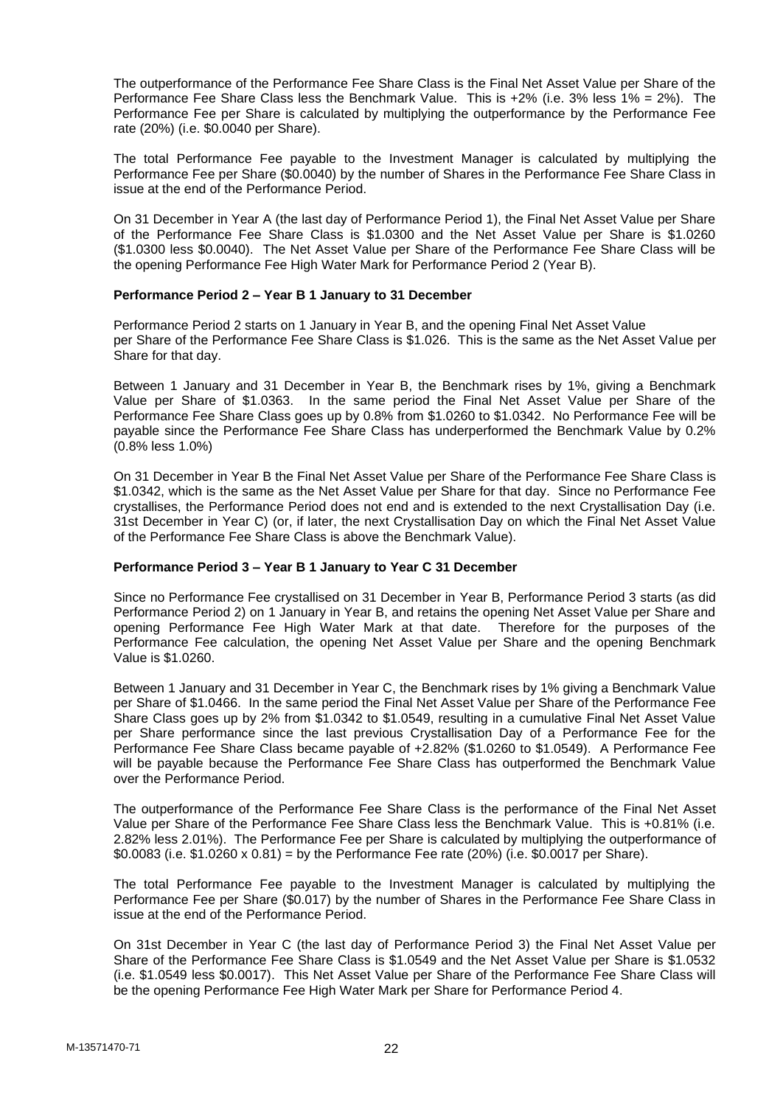The outperformance of the Performance Fee Share Class is the Final Net Asset Value per Share of the Performance Fee Share Class less the Benchmark Value. This is +2% (i.e. 3% less 1% = 2%). The Performance Fee per Share is calculated by multiplying the outperformance by the Performance Fee rate (20%) (i.e. \$0.0040 per Share).

The total Performance Fee payable to the Investment Manager is calculated by multiplying the Performance Fee per Share (\$0.0040) by the number of Shares in the Performance Fee Share Class in issue at the end of the Performance Period.

On 31 December in Year A (the last day of Performance Period 1), the Final Net Asset Value per Share of the Performance Fee Share Class is \$1.0300 and the Net Asset Value per Share is \$1.0260 (\$1.0300 less \$0.0040). The Net Asset Value per Share of the Performance Fee Share Class will be the opening Performance Fee High Water Mark for Performance Period 2 (Year B).

#### **Performance Period 2 – Year B 1 January to 31 December**

Performance Period 2 starts on 1 January in Year B, and the opening Final Net Asset Value per Share of the Performance Fee Share Class is \$1.026. This is the same as the Net Asset Value per Share for that day.

Between 1 January and 31 December in Year B, the Benchmark rises by 1%, giving a Benchmark Value per Share of \$1.0363. In the same period the Final Net Asset Value per Share of the Performance Fee Share Class goes up by 0.8% from \$1.0260 to \$1.0342. No Performance Fee will be payable since the Performance Fee Share Class has underperformed the Benchmark Value by 0.2% (0.8% less 1.0%)

On 31 December in Year B the Final Net Asset Value per Share of the Performance Fee Share Class is \$1.0342, which is the same as the Net Asset Value per Share for that day. Since no Performance Fee crystallises, the Performance Period does not end and is extended to the next Crystallisation Day (i.e. 31st December in Year C) (or, if later, the next Crystallisation Day on which the Final Net Asset Value of the Performance Fee Share Class is above the Benchmark Value).

#### **Performance Period 3 – Year B 1 January to Year C 31 December**

Since no Performance Fee crystallised on 31 December in Year B, Performance Period 3 starts (as did Performance Period 2) on 1 January in Year B, and retains the opening Net Asset Value per Share and opening Performance Fee High Water Mark at that date. Therefore for the purposes of the opening Performance Fee High Water Mark at that date. Performance Fee calculation, the opening Net Asset Value per Share and the opening Benchmark Value is \$1.0260.

Between 1 January and 31 December in Year C, the Benchmark rises by 1% giving a Benchmark Value per Share of \$1.0466. In the same period the Final Net Asset Value per Share of the Performance Fee Share Class goes up by 2% from \$1.0342 to \$1.0549, resulting in a cumulative Final Net Asset Value per Share performance since the last previous Crystallisation Day of a Performance Fee for the Performance Fee Share Class became payable of +2.82% (\$1.0260 to \$1.0549). A Performance Fee will be payable because the Performance Fee Share Class has outperformed the Benchmark Value over the Performance Period.

The outperformance of the Performance Fee Share Class is the performance of the Final Net Asset Value per Share of the Performance Fee Share Class less the Benchmark Value. This is +0.81% (i.e. 2.82% less 2.01%). The Performance Fee per Share is calculated by multiplying the outperformance of \$0.0083 (i.e. \$1.0260 x 0.81) = by the Performance Fee rate (20%) (i.e. \$0.0017 per Share).

The total Performance Fee payable to the Investment Manager is calculated by multiplying the Performance Fee per Share (\$0.017) by the number of Shares in the Performance Fee Share Class in issue at the end of the Performance Period.

On 31st December in Year C (the last day of Performance Period 3) the Final Net Asset Value per Share of the Performance Fee Share Class is \$1.0549 and the Net Asset Value per Share is \$1.0532 (i.e. \$1.0549 less \$0.0017). This Net Asset Value per Share of the Performance Fee Share Class will be the opening Performance Fee High Water Mark per Share for Performance Period 4.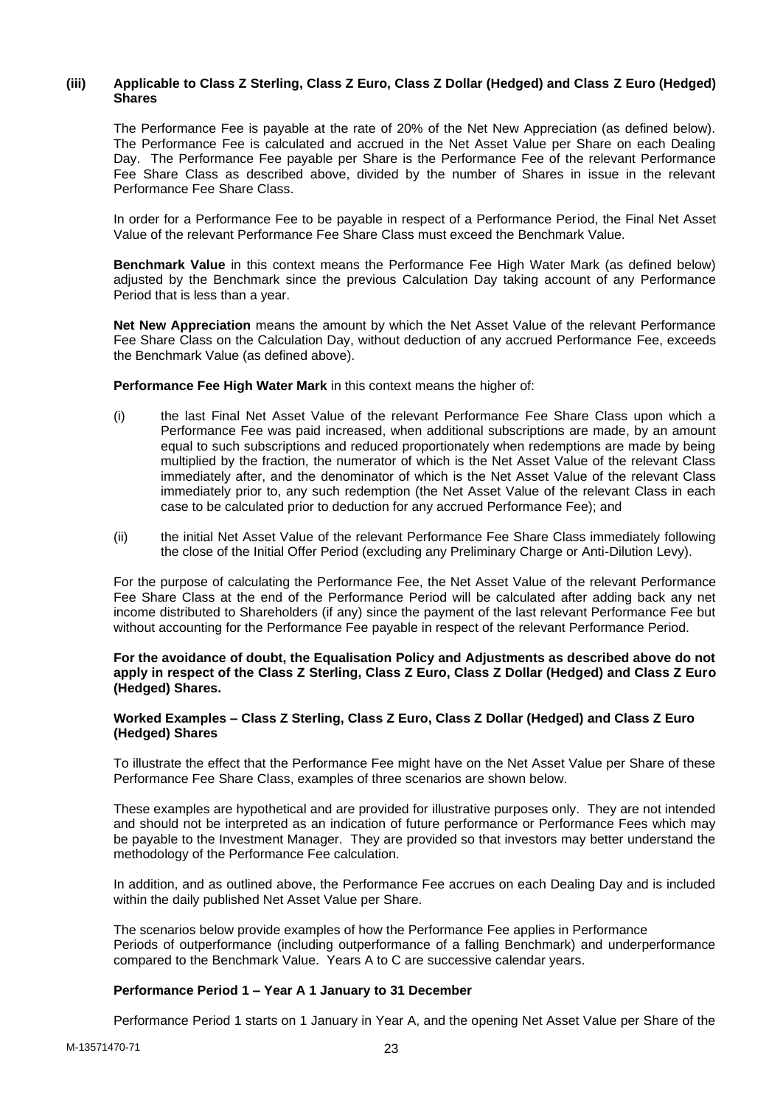## **(iii) Applicable to Class Z Sterling, Class Z Euro, Class Z Dollar (Hedged) and Class Z Euro (Hedged) Shares**

The Performance Fee is payable at the rate of 20% of the Net New Appreciation (as defined below). The Performance Fee is calculated and accrued in the Net Asset Value per Share on each Dealing Day. The Performance Fee payable per Share is the Performance Fee of the relevant Performance Fee Share Class as described above, divided by the number of Shares in issue in the relevant Performance Fee Share Class.

In order for a Performance Fee to be payable in respect of a Performance Period, the Final Net Asset Value of the relevant Performance Fee Share Class must exceed the Benchmark Value.

**Benchmark Value** in this context means the Performance Fee High Water Mark (as defined below) adjusted by the Benchmark since the previous Calculation Day taking account of any Performance Period that is less than a year.

**Net New Appreciation** means the amount by which the Net Asset Value of the relevant Performance Fee Share Class on the Calculation Day, without deduction of any accrued Performance Fee, exceeds the Benchmark Value (as defined above).

**Performance Fee High Water Mark** in this context means the higher of:

- (i) the last Final Net Asset Value of the relevant Performance Fee Share Class upon which a Performance Fee was paid increased, when additional subscriptions are made, by an amount equal to such subscriptions and reduced proportionately when redemptions are made by being multiplied by the fraction, the numerator of which is the Net Asset Value of the relevant Class immediately after, and the denominator of which is the Net Asset Value of the relevant Class immediately prior to, any such redemption (the Net Asset Value of the relevant Class in each case to be calculated prior to deduction for any accrued Performance Fee); and
- (ii) the initial Net Asset Value of the relevant Performance Fee Share Class immediately following the close of the Initial Offer Period (excluding any Preliminary Charge or Anti-Dilution Levy).

For the purpose of calculating the Performance Fee, the Net Asset Value of the relevant Performance Fee Share Class at the end of the Performance Period will be calculated after adding back any net income distributed to Shareholders (if any) since the payment of the last relevant Performance Fee but without accounting for the Performance Fee payable in respect of the relevant Performance Period.

### **For the avoidance of doubt, the Equalisation Policy and Adjustments as described above do not apply in respect of the Class Z Sterling, Class Z Euro, Class Z Dollar (Hedged) and Class Z Euro (Hedged) Shares.**

#### **Worked Examples – Class Z Sterling, Class Z Euro, Class Z Dollar (Hedged) and Class Z Euro (Hedged) Shares**

To illustrate the effect that the Performance Fee might have on the Net Asset Value per Share of these Performance Fee Share Class, examples of three scenarios are shown below.

These examples are hypothetical and are provided for illustrative purposes only. They are not intended and should not be interpreted as an indication of future performance or Performance Fees which may be payable to the Investment Manager. They are provided so that investors may better understand the methodology of the Performance Fee calculation.

In addition, and as outlined above, the Performance Fee accrues on each Dealing Day and is included within the daily published Net Asset Value per Share.

The scenarios below provide examples of how the Performance Fee applies in Performance Periods of outperformance (including outperformance of a falling Benchmark) and underperformance compared to the Benchmark Value. Years A to C are successive calendar years.

## **Performance Period 1 – Year A 1 January to 31 December**

Performance Period 1 starts on 1 January in Year A, and the opening Net Asset Value per Share of the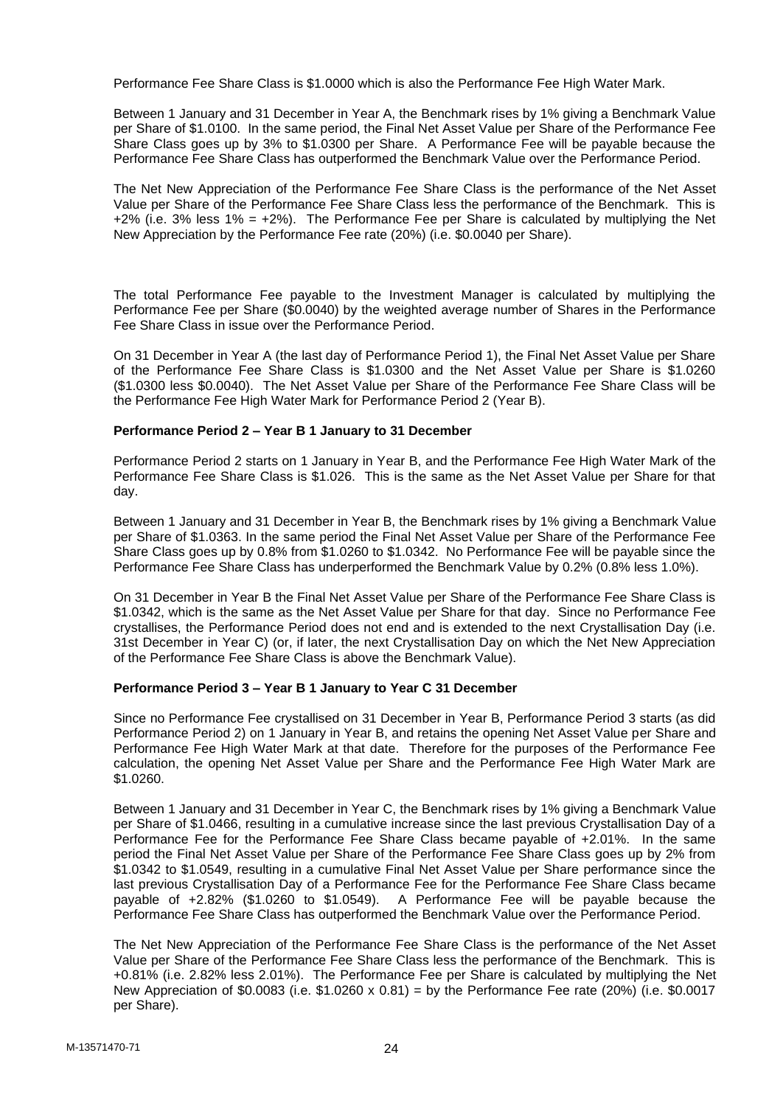Performance Fee Share Class is \$1.0000 which is also the Performance Fee High Water Mark.

Between 1 January and 31 December in Year A, the Benchmark rises by 1% giving a Benchmark Value per Share of \$1.0100. In the same period, the Final Net Asset Value per Share of the Performance Fee Share Class goes up by 3% to \$1.0300 per Share. A Performance Fee will be payable because the Performance Fee Share Class has outperformed the Benchmark Value over the Performance Period.

The Net New Appreciation of the Performance Fee Share Class is the performance of the Net Asset Value per Share of the Performance Fee Share Class less the performance of the Benchmark. This is +2% (i.e. 3% less 1% =  $+2$ %). The Performance Fee per Share is calculated by multiplying the Net New Appreciation by the Performance Fee rate (20%) (i.e. \$0.0040 per Share).

The total Performance Fee payable to the Investment Manager is calculated by multiplying the Performance Fee per Share (\$0.0040) by the weighted average number of Shares in the Performance Fee Share Class in issue over the Performance Period.

On 31 December in Year A (the last day of Performance Period 1), the Final Net Asset Value per Share of the Performance Fee Share Class is \$1.0300 and the Net Asset Value per Share is \$1.0260 (\$1.0300 less \$0.0040). The Net Asset Value per Share of the Performance Fee Share Class will be the Performance Fee High Water Mark for Performance Period 2 (Year B).

## **Performance Period 2 – Year B 1 January to 31 December**

Performance Period 2 starts on 1 January in Year B, and the Performance Fee High Water Mark of the Performance Fee Share Class is \$1.026. This is the same as the Net Asset Value per Share for that day.

Between 1 January and 31 December in Year B, the Benchmark rises by 1% giving a Benchmark Value per Share of \$1.0363. In the same period the Final Net Asset Value per Share of the Performance Fee Share Class goes up by 0.8% from \$1.0260 to \$1.0342. No Performance Fee will be payable since the Performance Fee Share Class has underperformed the Benchmark Value by 0.2% (0.8% less 1.0%).

On 31 December in Year B the Final Net Asset Value per Share of the Performance Fee Share Class is \$1.0342, which is the same as the Net Asset Value per Share for that day. Since no Performance Fee crystallises, the Performance Period does not end and is extended to the next Crystallisation Day (i.e. 31st December in Year C) (or, if later, the next Crystallisation Day on which the Net New Appreciation of the Performance Fee Share Class is above the Benchmark Value).

## **Performance Period 3 – Year B 1 January to Year C 31 December**

Since no Performance Fee crystallised on 31 December in Year B, Performance Period 3 starts (as did Performance Period 2) on 1 January in Year B, and retains the opening Net Asset Value per Share and Performance Fee High Water Mark at that date. Therefore for the purposes of the Performance Fee calculation, the opening Net Asset Value per Share and the Performance Fee High Water Mark are \$1.0260.

Between 1 January and 31 December in Year C, the Benchmark rises by 1% giving a Benchmark Value per Share of \$1.0466, resulting in a cumulative increase since the last previous Crystallisation Day of a Performance Fee for the Performance Fee Share Class became payable of +2.01%. In the same period the Final Net Asset Value per Share of the Performance Fee Share Class goes up by 2% from \$1.0342 to \$1.0549, resulting in a cumulative Final Net Asset Value per Share performance since the last previous Crystallisation Day of a Performance Fee for the Performance Fee Share Class became payable of +2.82% (\$1.0260 to \$1.0549). A Performance Fee will be payable because the Performance Fee Share Class has outperformed the Benchmark Value over the Performance Period.

The Net New Appreciation of the Performance Fee Share Class is the performance of the Net Asset Value per Share of the Performance Fee Share Class less the performance of the Benchmark. This is +0.81% (i.e. 2.82% less 2.01%). The Performance Fee per Share is calculated by multiplying the Net New Appreciation of \$0.0083 (i.e. \$1.0260 x 0.81) = by the Performance Fee rate (20%) (i.e. \$0.0017 per Share).